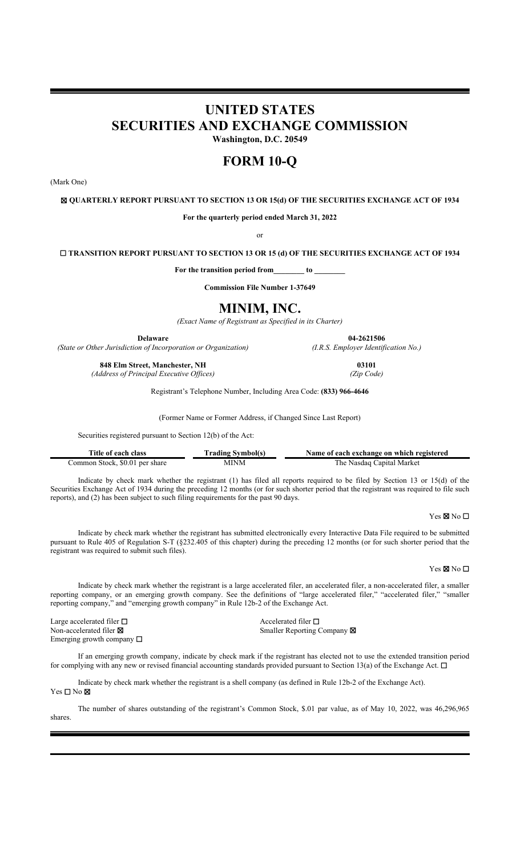# **UNITED STATES SECURITIES AND EXCHANGE COMMISSION Washington, D.C. 20549**

# **FORM 10-Q**

(Mark One)

☒ **QUARTERLY REPORT PURSUANT TO SECTION 13 OR 15(d) OF THE SECURITIES EXCHANGE ACT OF 1934**

**For the quarterly period ended March 31, 2022**

or

☐ **TRANSITION REPORT PURSUANT TO SECTION 13 OR 15 (d) OF THE SECURITIES EXCHANGE ACT OF 1934**

**For the transition period from\_\_\_\_\_\_\_\_ to \_\_\_\_\_\_\_\_**

**Commission File Number 1-37649**

## **MINIM, INC.**

*(Exact Name of Registrant as Specified in its Charter)*

**Delaware 04-2621506**<br> *On of Incorporation or Organization (I.R.S. Employer Identification No.) (State or Other Jurisdiction of Incorporation or Organization)* 

**848 Elm Street, Manchester, NH 03101** *(Address of Principal Executive Offices) (Zip Code)*

Registrant's Telephone Number, Including Area Code: **(833) 966-4646**

(Former Name or Former Address, if Changed Since Last Report)

Securities registered pursuant to Section 12(b) of the Act:

| Title of each class            | <b>Trading Symbol(s)</b> | Name of each exchange on which registered |
|--------------------------------|--------------------------|-------------------------------------------|
| Common Stock, \$0.01 per share | MINM                     | The Nasdag Capital Market                 |

Indicate by check mark whether the registrant (1) has filed all reports required to be filed by Section 13 or 15(d) of the Securities Exchange Act of 1934 during the preceding 12 months (or for such shorter period that the registrant was required to file such reports), and (2) has been subject to such filing requirements for the past 90 days.

Yes $\boxtimes$  No  $\Box$ 

Indicate by check mark whether the registrant has submitted electronically every Interactive Data File required to be submitted pursuant to Rule 405 of Regulation S-T (§232.405 of this chapter) during the preceding 12 months (or for such shorter period that the registrant was required to submit such files).

Yes  $\times$  No  $\Box$ 

Indicate by check mark whether the registrant is a large accelerated filer, an accelerated filer, a non-accelerated filer, a smaller reporting company, or an emerging growth company. See the definitions of "large accelerated filer," "accelerated filer," "smaller reporting company," and "emerging growth company" in Rule 12b-2 of the Exchange Act.

Large accelerated filer □<br>
Non-accelerated filer ⊠<br>
Mon-accelerated filer ⊠ Emerging growth company ☐

Smaller Reporting Company  $\boxtimes$ 

If an emerging growth company, indicate by check mark if the registrant has elected not to use the extended transition period for complying with any new or revised financial accounting standards provided pursuant to Section 13(a) of the Exchange Act.  $\Box$ 

Indicate by check mark whether the registrant is a shell company (as defined in Rule 12b-2 of the Exchange Act). Yes □ No ⊠

The number of shares outstanding of the registrant's Common Stock, \$.01 par value, as of May 10, 2022, was 46,296,965 shares.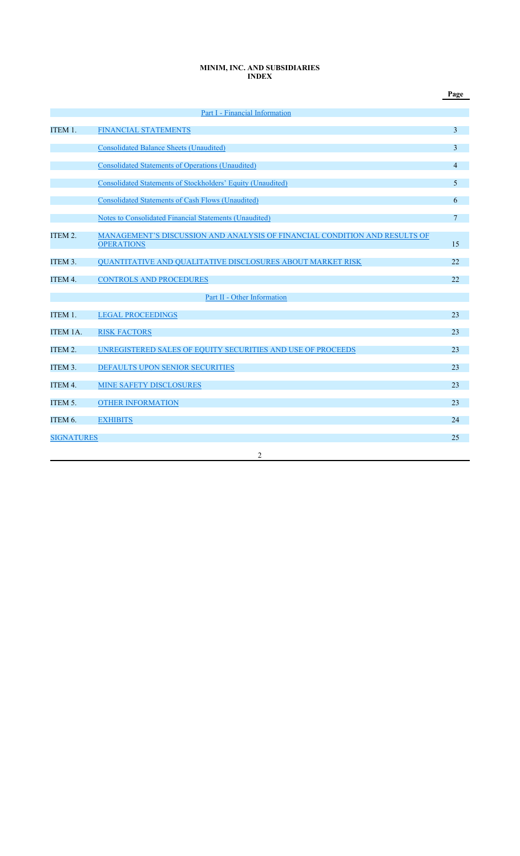### **MINIM, INC. AND SUBSIDIARIES INDEX**

|                   |                                                                            | Page           |
|-------------------|----------------------------------------------------------------------------|----------------|
|                   | Part I - Financial Information                                             |                |
| ITEM 1.           | FINANCIAL STATEMENTS                                                       | 3              |
|                   | <b>Consolidated Balance Sheets (Unaudited)</b>                             | 3              |
|                   | <b>Consolidated Statements of Operations (Unaudited)</b>                   | $\overline{4}$ |
|                   | Consolidated Statements of Stockholders' Equity (Unaudited)                | 5              |
|                   | Consolidated Statements of Cash Flows (Unaudited)                          | 6              |
|                   | Notes to Consolidated Financial Statements (Unaudited)                     | $\overline{7}$ |
| ITEM 2.           | MANAGEMENT'S DISCUSSION AND ANALYSIS OF FINANCIAL CONDITION AND RESULTS OF |                |
|                   | <b>OPERATIONS</b>                                                          | 15             |
| ITEM 3.           | QUANTITATIVE AND QUALITATIVE DISCLOSURES ABOUT MARKET RISK                 | 22             |
| ITEM 4.           | <b>CONTROLS AND PROCEDURES</b>                                             | 22.            |
|                   | Part II - Other Information                                                |                |
| ITEM 1.           | <b>LEGAL PROCEEDINGS</b>                                                   | 23             |
| ITEM 1A.          | <b>RISK FACTORS</b>                                                        | 23             |
| ITEM 2.           | UNREGISTERED SALES OF EQUITY SECURITIES AND USE OF PROCEEDS                | 23             |
| ITEM 3.           | DEFAULTS UPON SENIOR SECURITIES                                            | 23             |
| ITEM 4.           | MINE SAFETY DISCLOSURES                                                    | 23             |
| ITEM 5.           | <b>OTHER INFORMATION</b>                                                   | 23             |
| ITEM 6.           | <b>EXHIBITS</b>                                                            | 24             |
| <b>SIGNATURES</b> |                                                                            | 25             |
|                   | $\overline{2}$                                                             |                |
|                   |                                                                            |                |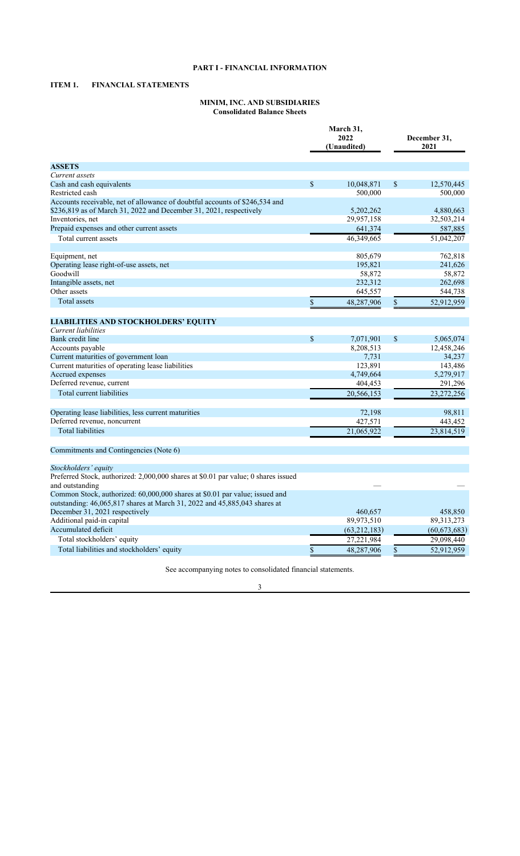## **PART I - FINANCIAL INFORMATION**

## **ITEM 1. FINANCIAL STATEMENTS**

#### **MINIM, INC. AND SUBSIDIARIES Consolidated Balance Sheets**

|                                                                                    | March 31,<br>2022<br>(Unaudited) |                | December 31,<br>2021 |                |
|------------------------------------------------------------------------------------|----------------------------------|----------------|----------------------|----------------|
| <b>ASSETS</b>                                                                      |                                  |                |                      |                |
| Current assets                                                                     |                                  |                |                      |                |
| Cash and cash equivalents                                                          | \$                               | 10,048,871     | \$                   | 12,570,445     |
| Restricted cash                                                                    |                                  | 500,000        |                      | 500,000        |
| Accounts receivable, net of allowance of doubtful accounts of \$246,534 and        |                                  |                |                      |                |
| \$236,819 as of March 31, 2022 and December 31, 2021, respectively                 |                                  | 5,202,262      |                      | 4,880,663      |
| Inventories, net                                                                   |                                  | 29,957,158     |                      | 32,503,214     |
| Prepaid expenses and other current assets                                          |                                  | 641,374        |                      | 587,885        |
| Total current assets                                                               |                                  | 46,349,665     |                      | 51,042,207     |
| Equipment, net                                                                     |                                  | 805,679        |                      | 762,818        |
| Operating lease right-of-use assets, net                                           |                                  | 195,821        |                      | 241,626        |
| Goodwill                                                                           |                                  | 58,872         |                      | 58,872         |
| Intangible assets, net                                                             |                                  | 232,312        |                      | 262,698        |
| Other assets                                                                       |                                  | 645,557        |                      | 544,738        |
| Total assets                                                                       | \$                               | 48,287,906     | \$                   | 52,912,959     |
|                                                                                    |                                  |                |                      |                |
| <b>LIABILITIES AND STOCKHOLDERS' EQUITY</b>                                        |                                  |                |                      |                |
| Current liabilities                                                                |                                  |                |                      |                |
| Bank credit line                                                                   | \$                               | 7,071,901      | \$                   | 5,065,074      |
| Accounts payable                                                                   |                                  | 8,208,513      |                      | 12,458,246     |
| Current maturities of government loan                                              |                                  | 7,731          |                      | 34,237         |
| Current maturities of operating lease liabilities                                  |                                  | 123,891        |                      | 143,486        |
| Accrued expenses                                                                   |                                  | 4,749,664      |                      | 5,279,917      |
| Deferred revenue, current                                                          |                                  | 404,453        |                      | 291,296        |
| Total current liabilities                                                          |                                  | 20,566,153     |                      | 23,272,256     |
| Operating lease liabilities, less current maturities                               |                                  | 72,198         |                      |                |
|                                                                                    |                                  |                |                      | 98,811         |
| Deferred revenue, noncurrent                                                       |                                  | 427,571        |                      | 443,452        |
| <b>Total liabilities</b>                                                           |                                  | 21,065,922     |                      | 23,814,519     |
| Commitments and Contingencies (Note 6)                                             |                                  |                |                      |                |
| Stockholders' equity                                                               |                                  |                |                      |                |
| Preferred Stock, authorized: 2,000,000 shares at \$0.01 par value; 0 shares issued |                                  |                |                      |                |
| and outstanding                                                                    |                                  |                |                      |                |
| Common Stock, authorized: 60,000,000 shares at \$0.01 par value; issued and        |                                  |                |                      |                |
| outstanding: 46,065,817 shares at March 31, 2022 and 45,885,043 shares at          |                                  |                |                      |                |
| December 31, 2021 respectively                                                     |                                  | 460,657        |                      | 458,850        |
| Additional paid-in capital                                                         |                                  | 89,973,510     |                      | 89, 313, 273   |
| Accumulated deficit                                                                |                                  | (63, 212, 183) |                      | (60, 673, 683) |
| Total stockholders' equity                                                         |                                  | 27,221,984     |                      | 29,098,440     |
| Total liabilities and stockholders' equity                                         | \$                               | 48,287,906     | \$                   | 52,912,959     |

See accompanying notes to consolidated financial statements.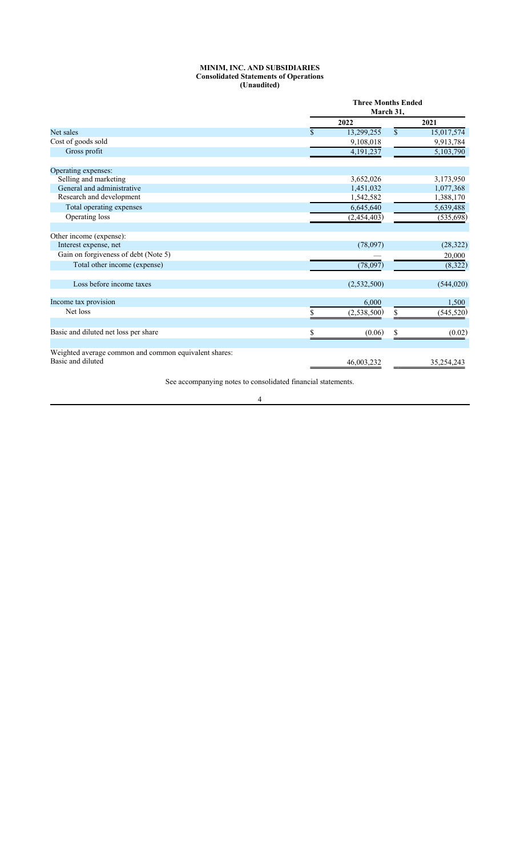### **MINIM, INC. AND SUBSIDIARIES Consolidated Statements of Operations (Unaudited)**

|                                                                            | <b>Three Months Ended</b><br>March 31, |             |            |  |
|----------------------------------------------------------------------------|----------------------------------------|-------------|------------|--|
|                                                                            | 2022                                   |             | 2021       |  |
| Net sales                                                                  | 13,299,255                             | $\mathbf S$ | 15,017,574 |  |
| Cost of goods sold                                                         | 9,108,018                              |             | 9,913,784  |  |
| Gross profit                                                               | 4,191,237                              |             | 5,103,790  |  |
| Operating expenses:                                                        |                                        |             |            |  |
| Selling and marketing                                                      | 3,652,026                              |             | 3,173,950  |  |
| General and administrative                                                 | 1,451,032                              |             | 1,077,368  |  |
| Research and development                                                   | 1,542,582                              |             | 1,388,170  |  |
| Total operating expenses                                                   | 6,645,640                              |             | 5,639,488  |  |
| Operating loss                                                             | (2, 454, 403)                          |             | (535, 698) |  |
|                                                                            |                                        |             |            |  |
| Other income (expense):                                                    |                                        |             |            |  |
| Interest expense, net                                                      | (78,097)                               |             | (28, 322)  |  |
| Gain on forgiveness of debt (Note 5)                                       |                                        |             | 20,000     |  |
| Total other income (expense)                                               | (78,097)                               |             | (8,322)    |  |
| Loss before income taxes                                                   | (2,532,500)                            |             | (544, 020) |  |
| Income tax provision                                                       | 6,000                                  |             | 1,500      |  |
| Net loss                                                                   | (2,538,500)                            | \$          | (545, 520) |  |
| Basic and diluted net loss per share                                       | \$<br>(0.06)                           | \$          | (0.02)     |  |
|                                                                            |                                        |             |            |  |
| Weighted average common and common equivalent shares:<br>Basic and diluted |                                        |             |            |  |
|                                                                            | 46,003,232                             |             | 35,254,243 |  |

See accompanying notes to consolidated financial statements.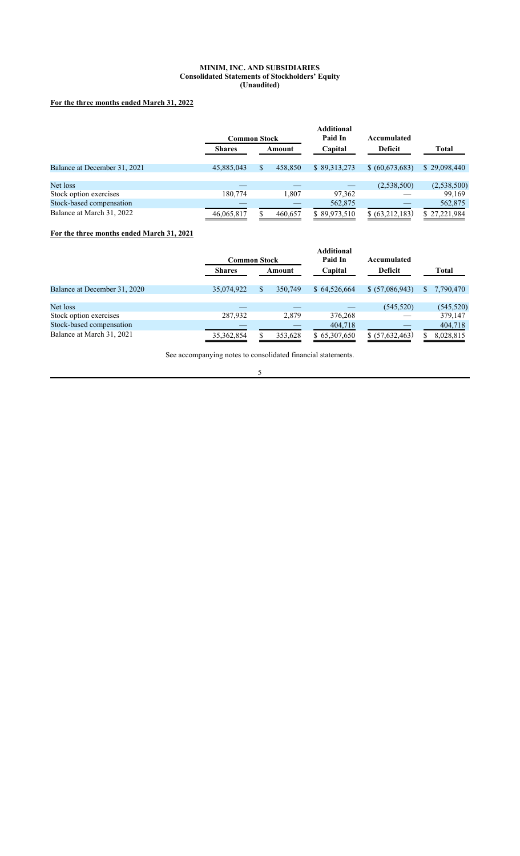#### **MINIM, INC. AND SUBSIDIARIES Consolidated Statements of Stockholders' Equity (Unaudited)**

## **For the three months ended March 31, 2022**

|                              | <b>Common Stock</b> |         | <b>Additional</b><br>Paid In | Accumulated     |              |
|------------------------------|---------------------|---------|------------------------------|-----------------|--------------|
|                              | <b>Shares</b>       | Amount  | Capital                      | <b>Deficit</b>  | Total        |
| Balance at December 31, 2021 | 45,885,043          | 458,850 | \$89,313,273                 | \$ (60,673,683) | \$29,098,440 |
| Net loss                     |                     |         |                              | (2,538,500)     | (2,538,500)  |
| Stock option exercises       | 180,774             | 1.807   | 97,362                       |                 | 99,169       |
| Stock-based compensation     |                     |         | 562,875                      |                 | 562,875      |
| Balance at March 31, 2022    | 46,065,817          | 460,657 | \$89,973,510                 | \$ (63,212,183) | \$27,221,984 |

## **For the three months ended March 31, 2021**

|                              | <b>Common Stock</b> |   |         | <b>Additional</b><br>Paid In | Accumulated     |    |              |
|------------------------------|---------------------|---|---------|------------------------------|-----------------|----|--------------|
|                              | <b>Shares</b>       |   | Amount  | Capital                      | <b>Deficit</b>  |    | <b>Total</b> |
| Balance at December 31, 2020 | 35,074,922          | S | 350,749 | \$64,526,664                 | \$ (57,086,943) | S. | 7,790,470    |
| Net loss                     |                     |   |         |                              | (545, 520)      |    | (545, 520)   |
| Stock option exercises       | 287,932             |   | 2,879   | 376,268                      |                 |    | 379,147      |
| Stock-based compensation     |                     |   |         | 404,718                      |                 |    | 404,718      |
| Balance at March 31, 2021    | 35, 362, 854        |   | 353,628 | \$65,307,650                 | \$ (57,632,463) |    | 8,028,815    |

See accompanying notes to consolidated financial statements.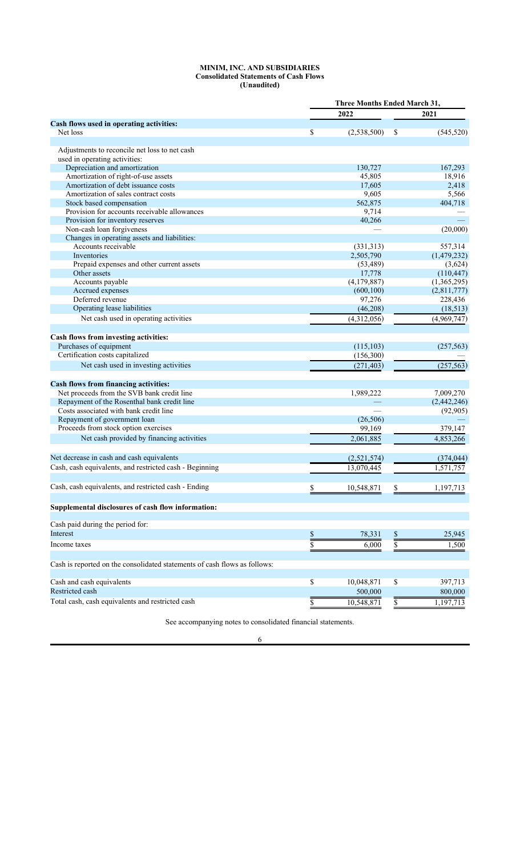#### **MINIM, INC. AND SUBSIDIARIES Consolidated Statements of Cash Flows (Unaudited)**

|                                                                           | Three Months Ended March 31, |             |                 |                          |
|---------------------------------------------------------------------------|------------------------------|-------------|-----------------|--------------------------|
|                                                                           |                              | 2022        |                 | 2021                     |
| Cash flows used in operating activities:                                  |                              |             |                 |                          |
| Net loss                                                                  | \$                           | (2,538,500) | \$              | (545, 520)               |
| Adjustments to reconcile net loss to net cash                             |                              |             |                 |                          |
| used in operating activities:                                             |                              |             |                 |                          |
| Depreciation and amortization                                             |                              | 130,727     |                 | 167,293                  |
| Amortization of right-of-use assets                                       |                              | 45,805      |                 | 18,916                   |
| Amortization of debt issuance costs                                       |                              | 17,605      |                 | 2,418                    |
| Amortization of sales contract costs                                      |                              | 9,605       |                 | 5,566                    |
| Stock based compensation                                                  |                              | 562,875     |                 | 404,718                  |
| Provision for accounts receivable allowances                              |                              | 9.714       |                 |                          |
| Provision for inventory reserves                                          |                              | 40,266      |                 |                          |
| Non-cash loan forgiveness                                                 |                              |             |                 | (20,000)                 |
| Changes in operating assets and liabilities:                              |                              |             |                 |                          |
| Accounts receivable                                                       |                              | (331,313)   |                 | 557,314                  |
| Inventories                                                               |                              | 2,505,790   |                 | (1,479,232)              |
| Prepaid expenses and other current assets                                 |                              | (53, 489)   |                 | (3,624)                  |
| Other assets                                                              |                              | 17,778      |                 | (110, 447)               |
| Accounts payable                                                          |                              | (4,179,887) |                 | (1,365,295)              |
| Accrued expenses                                                          |                              | (600, 100)  |                 | (2,811,777)              |
| Deferred revenue                                                          |                              | 97,276      |                 | 228,436                  |
| Operating lease liabilities                                               |                              | (46,208)    |                 | (18, 513)                |
| Net cash used in operating activities                                     |                              | (4,312,056) |                 | $\overline{(4,969,747)}$ |
|                                                                           |                              |             |                 |                          |
| Cash flows from investing activities:                                     |                              |             |                 |                          |
| Purchases of equipment                                                    |                              | (115, 103)  |                 | (257, 563)               |
| Certification costs capitalized                                           |                              | (156,300)   |                 |                          |
| Net cash used in investing activities                                     |                              | (271, 403)  |                 | (257, 563)               |
|                                                                           |                              |             |                 |                          |
| <b>Cash flows from financing activities:</b>                              |                              |             |                 |                          |
| Net proceeds from the SVB bank credit line                                |                              | 1,989,222   |                 | 7,009,270                |
| Repayment of the Rosenthal bank credit line                               |                              |             |                 | (2,442,246)              |
| Costs associated with bank credit line                                    |                              |             |                 | (92, 905)                |
| Repayment of government loan                                              |                              | (26, 506)   |                 |                          |
| Proceeds from stock option exercises                                      |                              | 99,169      |                 | 379,147                  |
| Net cash provided by financing activities                                 |                              | 2,061,885   |                 | 4,853,266                |
| Net decrease in cash and cash equivalents                                 |                              | (2,521,574) |                 | (374, 044)               |
| Cash, cash equivalents, and restricted cash - Beginning                   |                              | 13,070,445  |                 | 1,571,757                |
|                                                                           |                              |             |                 |                          |
| Cash, cash equivalents, and restricted cash - Ending                      | \$                           | 10,548,871  | \$              | 1,197,713                |
| Supplemental disclosures of cash flow information:                        |                              |             |                 |                          |
|                                                                           |                              |             |                 |                          |
| Cash paid during the period for:                                          |                              |             |                 |                          |
| Interest                                                                  | \$                           | 78,331      | \$              | 25,945                   |
| Income taxes                                                              | \$                           | 6,000       | $\overline{\$}$ | 1,500                    |
| Cash is reported on the consolidated statements of cash flows as follows: |                              |             |                 |                          |
|                                                                           |                              |             |                 |                          |
| Cash and cash equivalents                                                 | \$                           | 10,048,871  | \$              | 397,713                  |
| Restricted cash                                                           |                              | 500,000     |                 | 800,000                  |
| Total cash, cash equivalents and restricted cash                          | S                            | 10,548,871  | \$              | 1,197,713                |
|                                                                           |                              |             |                 |                          |

See accompanying notes to consolidated financial statements.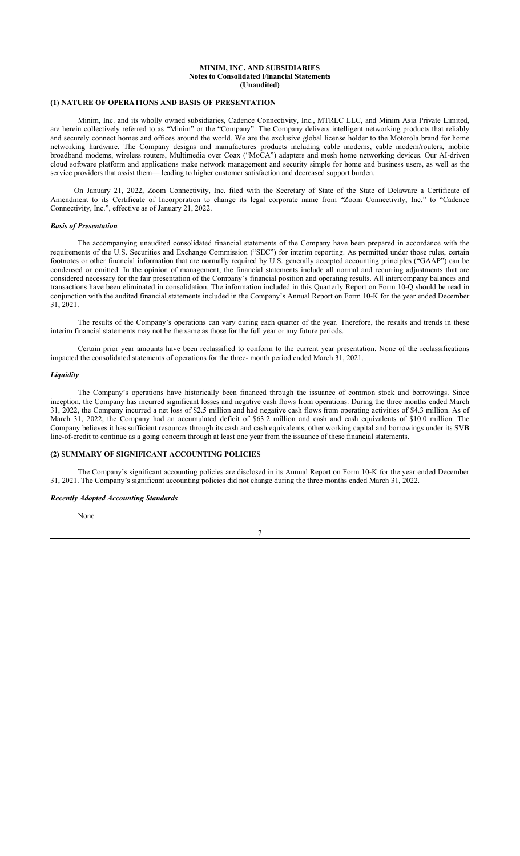#### **MINIM, INC. AND SUBSIDIARIES Notes to Consolidated Financial Statements (Unaudited)**

## **(1) NATURE OF OPERATIONS AND BASIS OF PRESENTATION**

Minim, Inc. and its wholly owned subsidiaries, Cadence Connectivity, Inc., MTRLC LLC, and Minim Asia Private Limited, are herein collectively referred to as "Minim" or the "Company". The Company delivers intelligent networking products that reliably and securely connect homes and offices around the world. We are the exclusive global license holder to the Motorola brand for home networking hardware. The Company designs and manufactures products including cable modems, cable modem/routers, mobile broadband modems, wireless routers, Multimedia over Coax ("MoCA") adapters and mesh home networking devices. Our AI-driven cloud software platform and applications make network management and security simple for home and business users, as well as the service providers that assist them— leading to higher customer satisfaction and decreased support burden.

On January 21, 2022, Zoom Connectivity, Inc. filed with the Secretary of State of the State of Delaware a Certificate of Amendment to its Certificate of Incorporation to change its legal corporate name from "Zoom Connectivity, Inc." to "Cadence Connectivity, Inc.", effective as of January 21, 2022.

#### *Basis of Presentation*

The accompanying unaudited consolidated financial statements of the Company have been prepared in accordance with the requirements of the U.S. Securities and Exchange Commission ("SEC") for interim reporting. As permitted under those rules, certain footnotes or other financial information that are normally required by U.S. generally accepted accounting principles ("GAAP") can be condensed or omitted. In the opinion of management, the financial statements include all normal and recurring adjustments that are considered necessary for the fair presentation of the Company's financial position and operating results. All intercompany balances and transactions have been eliminated in consolidation. The information included in this Quarterly Report on Form 10-Q should be read in conjunction with the audited financial statements included in the Company's Annual Report on Form 10-K for the year ended December 31, 2021.

The results of the Company's operations can vary during each quarter of the year. Therefore, the results and trends in these interim financial statements may not be the same as those for the full year or any future periods.

Certain prior year amounts have been reclassified to conform to the current year presentation. None of the reclassifications impacted the consolidated statements of operations for the three- month period ended March 31, 2021.

### *Liquidity*

The Company's operations have historically been financed through the issuance of common stock and borrowings. Since inception, the Company has incurred significant losses and negative cash flows from operations. During the three months ended March 31, 2022, the Company incurred a net loss of \$2.5 million and had negative cash flows from operating activities of \$4.3 million. As of March 31, 2022, the Company had an accumulated deficit of \$63.2 million and cash and cash equivalents of \$10.0 million. The Company believes it has sufficient resources through its cash and cash equivalents, other working capital and borrowings under its SVB line-of-credit to continue as a going concern through at least one year from the issuance of these financial statements.

## **(2) SUMMARY OF SIGNIFICANT ACCOUNTING POLICIES**

The Company's significant accounting policies are disclosed in its Annual Report on Form 10-K for the year ended December 31, 2021. The Company's significant accounting policies did not change during the three months ended March 31, 2022.

## *Recently Adopted Accounting Standards*

None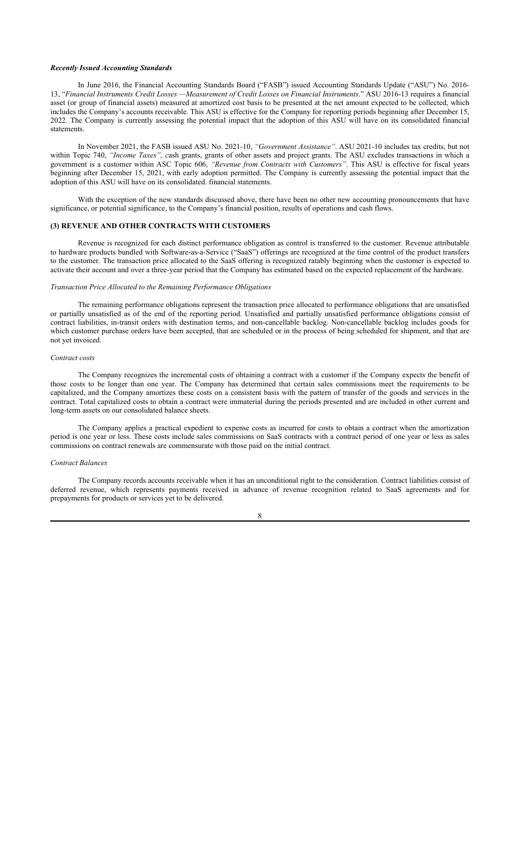### *Recently Issued Accounting Standards*

In June 2016, the Financial Accounting Standards Board ("FASB") issued Accounting Standards Update ("ASU") No. 2016- 13, "*Financial Instruments Credit Losses —Measurement of Credit Losses on Financial Instruments*." ASU 2016-13 requires a financial asset (or group of financial assets) measured at amortized cost basis to be presented at the net amount expected to be collected, which includes the Company's accounts receivable. This ASU is effective for the Company for reporting periods beginning after December 15, 2022. The Company is currently assessing the potential impact that the adoption of this ASU will have on its consolidated financial statements.

In November 2021, the FASB issued ASU No. 2021-10, *"Government Assistance"*. ASU 2021-10 includes tax credits, but not within Topic 740, *"Income Taxes", c*ash grants, grants of other assets and project grants. The ASU excludes transactions in which a government is a customer within ASC Topic 606, *"Revenue from Contracts with Customers".* This ASU is effective for fiscal years beginning after December 15, 2021, with early adoption permitted. The Company is currently assessing the potential impact that the adoption of this ASU will have on its consolidated. financial statements.

With the exception of the new standards discussed above, there have been no other new accounting pronouncements that have significance, or potential significance, to the Company's financial position, results of operations and cash flows.

### **(3) REVENUE AND OTHER CONTRACTS WITH CUSTOMERS**

Revenue is recognized for each distinct performance obligation as control is transferred to the customer. Revenue attributable to hardware products bundled with Software-as-a-Service ("SaaS") offerings are recognized at the time control of the product transfers to the customer. The transaction price allocated to the SaaS offering is recognized ratably beginning when the customer is expected to activate their account and over a three-year period that the Company has estimated based on the expected replacement of the hardware.

### *Transaction Price Allocated to the Remaining Performance Obligations*

The remaining performance obligations represent the transaction price allocated to performance obligations that are unsatisfied or partially unsatisfied as of the end of the reporting period. Unsatisfied and partially unsatisfied performance obligations consist of contract liabilities, in-transit orders with destination terms, and non-cancellable backlog. Non-cancellable backlog includes goods for which customer purchase orders have been accepted, that are scheduled or in the process of being scheduled for shipment, and that are not yet invoiced.

### *Contract costs*

The Company recognizes the incremental costs of obtaining a contract with a customer if the Company expects the benefit of those costs to be longer than one year. The Company has determined that certain sales commissions meet the requirements to be capitalized, and the Company amortizes these costs on a consistent basis with the pattern of transfer of the goods and services in the contract. Total capitalized costs to obtain a contract were immaterial during the periods presented and are included in other current and long-term assets on our consolidated balance sheets.

The Company applies a practical expedient to expense costs as incurred for costs to obtain a contract when the amortization period is one year or less. These costs include sales commissions on SaaS contracts with a contract period of one year or less as sales commissions on contract renewals are commensurate with those paid on the initial contract.

## *Contract Balances*

The Company records accounts receivable when it has an unconditional right to the consideration. Contract liabilities consist of deferred revenue, which represents payments received in advance of revenue recognition related to SaaS agreements and for prepayments for products or services yet to be delivered.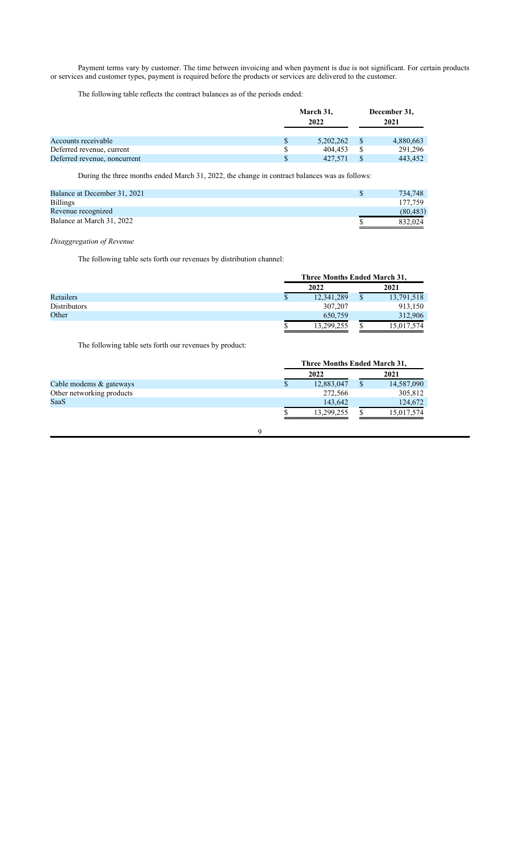Payment terms vary by customer. The time between invoicing and when payment is due is not significant. For certain products or services and customer types, payment is required before the products or services are delivered to the customer.

The following table reflects the contract balances as of the periods ended:

|                              | March 31,<br>2022 | December 31,<br>2021 |  |
|------------------------------|-------------------|----------------------|--|
| Accounts receivable          | 5,202,262         | 4,880,663            |  |
| Deferred revenue, current    | 404.453           | 291.296              |  |
| Deferred revenue, noncurrent | 427,571           | 443,452              |  |

During the three months ended March 31, 2022, the change in contract balances was as follows:

| Balance at December 31, 2021 | 734.748   |
|------------------------------|-----------|
| <b>Billings</b>              | 177.759   |
| Revenue recognized           | (80, 483) |
| Balance at March 31, 2022    | 832.024   |

## *Disaggregation of Revenue*

The following table sets forth our revenues by distribution channel:

|                     | Three Months Ended March 31, |      |            |  |
|---------------------|------------------------------|------|------------|--|
|                     | 2022                         | 2021 |            |  |
| Retailers           | 12,341,289                   |      | 13,791,518 |  |
| <b>Distributors</b> | 307,207                      |      | 913,150    |  |
| Other               | 650,759                      |      | 312,906    |  |
|                     | 13,299,255                   | œ    | 15,017,574 |  |

The following table sets forth our revenues by product:

|                           | Three Months Ended March 31, |    |            |  |
|---------------------------|------------------------------|----|------------|--|
|                           | 2022                         |    | 2021       |  |
| Cable modems & gateways   | 12,883,047                   | \$ | 14,587,090 |  |
| Other networking products | 272,566                      |    | 305,812    |  |
| SaaS                      | 143,642                      |    | 124,672    |  |
|                           | 13,299,255                   |    | 15,017,574 |  |
|                           |                              |    |            |  |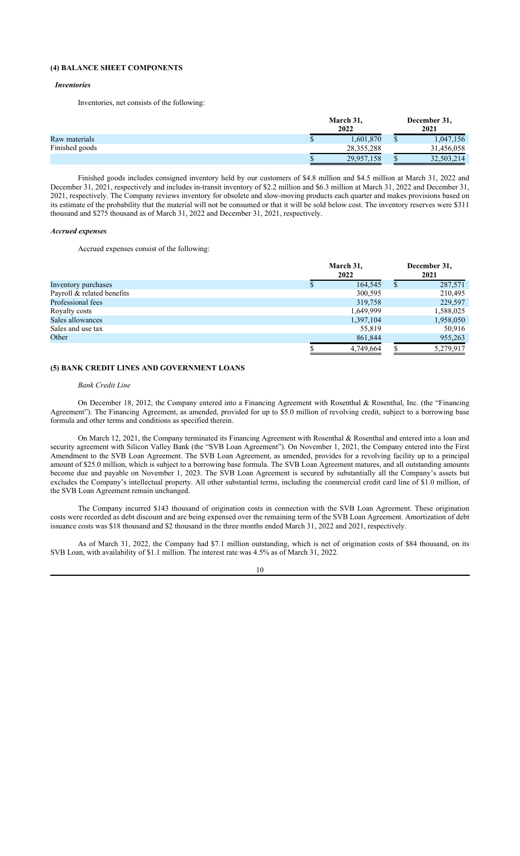## **(4) BALANCE SHEET COMPONENTS**

### *Inventories*

Inventories, net consists of the following:

|                | March 31,<br>2022 | December 31,<br>2021 |
|----------------|-------------------|----------------------|
| Raw materials  | 1,601,870         | 1,047,156            |
| Finished goods | 28, 355, 288      | 31,456,058           |
|                | 29,957,158        | 32,503,214<br>D      |

Finished goods includes consigned inventory held by our customers of \$4.8 million and \$4.5 million at March 31, 2022 and December 31, 2021, respectively and includes in-transit inventory of \$2.2 million and \$6.3 million at March 31, 2022 and December 31, 2021, respectively. The Company reviews inventory for obsolete and slow-moving products each quarter and makes provisions based on its estimate of the probability that the material will not be consumed or that it will be sold below cost. The inventory reserves were \$311 thousand and \$275 thousand as of March 31, 2022 and December 31, 2021, respectively.

### *Accrued expenses*

Accrued expenses consist of the following:

|                            | March 31,<br>2022 |  |           |
|----------------------------|-------------------|--|-----------|
| Inventory purchases        | 164,545           |  | 287,571   |
| Payroll & related benefits | 300,595           |  | 210,495   |
| Professional fees          | 319,758           |  | 229,597   |
| Royalty costs              | 1,649,999         |  | 1,588,025 |
| Sales allowances           | 1,397,104         |  | 1,958,050 |
| Sales and use tax          | 55,819            |  | 50,916    |
| Other                      | 861,844           |  | 955,263   |
|                            | 4.749.664         |  | 5,279,917 |

## **(5) BANK CREDIT LINES AND GOVERNMENT LOANS**

#### *Bank Credit Line*

On December 18, 2012, the Company entered into a Financing Agreement with Rosenthal & Rosenthal, Inc. (the "Financing Agreement"). The Financing Agreement, as amended, provided for up to \$5.0 million of revolving credit, subject to a borrowing base formula and other terms and conditions as specified therein.

On March 12, 2021, the Company terminated its Financing Agreement with Rosenthal & Rosenthal and entered into a loan and security agreement with Silicon Valley Bank (the "SVB Loan Agreement"). On November 1, 2021, the Company entered into the First Amendment to the SVB Loan Agreement. The SVB Loan Agreement, as amended, provides for a revolving facility up to a principal amount of \$25.0 million, which is subject to a borrowing base formula. The SVB Loan Agreement matures, and all outstanding amounts become due and payable on November 1, 2023. The SVB Loan Agreement is secured by substantially all the Company's assets but excludes the Company's intellectual property. All other substantial terms, including the commercial credit card line of \$1.0 million, of the SVB Loan Agreement remain unchanged.

The Company incurred \$143 thousand of origination costs in connection with the SVB Loan Agreement. These origination costs were recorded as debt discount and are being expensed over the remaining term of the SVB Loan Agreement. Amortization of debt issuance costs was \$18 thousand and \$2 thousand in the three months ended March 31, 2022 and 2021, respectively.

As of March 31, 2022, the Company had \$7.1 million outstanding, which is net of origination costs of \$84 thousand, on its SVB Loan, with availability of \$1.1 million. The interest rate was 4.5% as of March 31, 2022.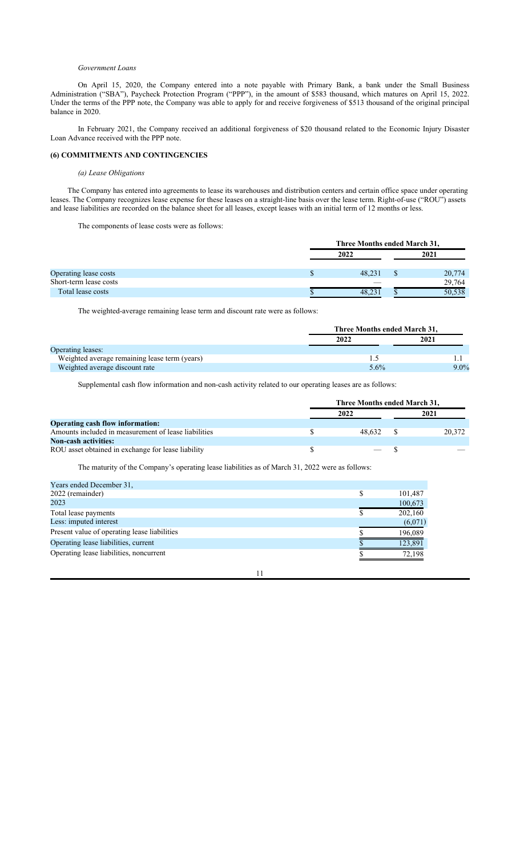#### *Government Loans*

On April 15, 2020, the Company entered into a note payable with Primary Bank, a bank under the Small Business Administration ("SBA"), Paycheck Protection Program ("PPP"), in the amount of \$583 thousand, which matures on April 15, 2022. Under the terms of the PPP note, the Company was able to apply for and receive forgiveness of \$513 thousand of the original principal balance in 2020.

In February 2021, the Company received an additional forgiveness of \$20 thousand related to the Economic Injury Disaster Loan Advance received with the PPP note.

## **(6) COMMITMENTS AND CONTINGENCIES**

#### *(a) Lease Obligations*

The Company has entered into agreements to lease its warehouses and distribution centers and certain office space under operating leases. The Company recognizes lease expense for these leases on a straight-line basis over the lease term. Right-of-use ("ROU") assets and lease liabilities are recorded on the balance sheet for all leases, except leases with an initial term of 12 months or less.

The components of lease costs were as follows:

|                        | Three Months ended March 31, |      |        |  |  |  |
|------------------------|------------------------------|------|--------|--|--|--|
|                        | 2022                         | 2021 |        |  |  |  |
| Operating lease costs  | 48.231                       |      | 20,774 |  |  |  |
| Short-term lease costs |                              |      | 29,764 |  |  |  |
| Total lease costs      | 48.231                       |      | 50,538 |  |  |  |

The weighted-average remaining lease term and discount rate were as follows:

|                                               | Three Months ended March 31, |         |  |  |  |
|-----------------------------------------------|------------------------------|---------|--|--|--|
|                                               | 2022                         | 2021    |  |  |  |
| Operating leases:                             |                              |         |  |  |  |
| Weighted average remaining lease term (years) |                              |         |  |  |  |
| Weighted average discount rate                | 5.6%                         | $9.0\%$ |  |  |  |

Supplemental cash flow information and non-cash activity related to our operating leases are as follows:

|                                                      | Three Months ended March 31, |  |        |  |  |
|------------------------------------------------------|------------------------------|--|--------|--|--|
|                                                      | 2022                         |  | 2021   |  |  |
| <b>Operating cash flow information:</b>              |                              |  |        |  |  |
| Amounts included in measurement of lease liabilities | 48.632                       |  | 20,372 |  |  |
| <b>Non-cash activities:</b>                          |                              |  |        |  |  |
| ROU asset obtained in exchange for lease liability   |                              |  |        |  |  |

11

The maturity of the Company's operating lease liabilities as of March 31, 2022 were as follows:

| Years ended December 31,                     |         |
|----------------------------------------------|---------|
| 2022 (remainder)                             | 101,487 |
| 2023                                         | 100,673 |
| Total lease payments                         | 202,160 |
| Less: imputed interest                       | (6,071) |
| Present value of operating lease liabilities | 196,089 |
| Operating lease liabilities, current         | 123,891 |
| Operating lease liabilities, noncurrent      | 72,198  |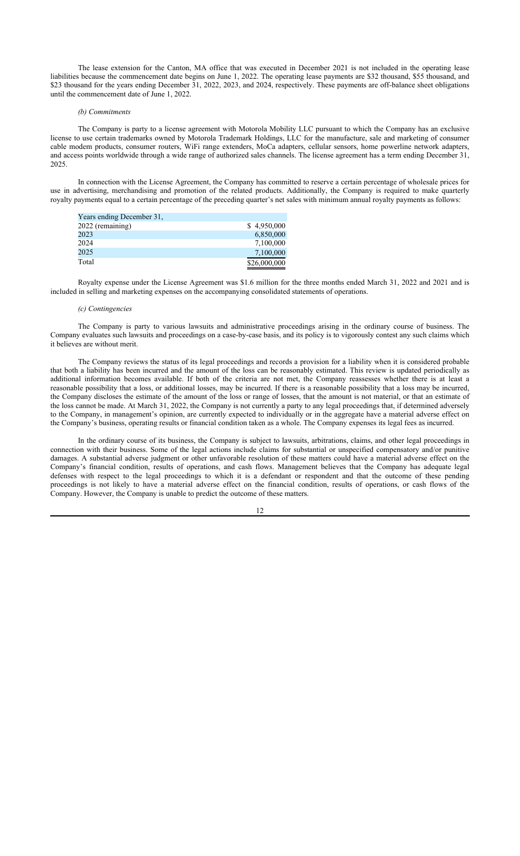The lease extension for the Canton, MA office that was executed in December 2021 is not included in the operating lease liabilities because the commencement date begins on June 1, 2022. The operating lease payments are \$32 thousand, \$55 thousand, and \$23 thousand for the years ending December 31, 2022, 2023, and 2024, respectively. These payments are off-balance sheet obligations until the commencement date of June 1, 2022.

#### *(b) Commitments*

The Company is party to a license agreement with Motorola Mobility LLC pursuant to which the Company has an exclusive license to use certain trademarks owned by Motorola Trademark Holdings, LLC for the manufacture, sale and marketing of consumer cable modem products, consumer routers, WiFi range extenders, MoCa adapters, cellular sensors, home powerline network adapters, and access points worldwide through a wide range of authorized sales channels. The license agreement has a term ending December 31, 2025.

In connection with the License Agreement, the Company has committed to reserve a certain percentage of wholesale prices for use in advertising, merchandising and promotion of the related products. Additionally, the Company is required to make quarterly royalty payments equal to a certain percentage of the preceding quarter's net sales with minimum annual royalty payments as follows:

| Years ending December 31, |              |
|---------------------------|--------------|
| 2022 (remaining)          | \$4.950.000  |
| 2023                      | 6,850,000    |
| 2024                      | 7,100,000    |
| 2025                      | 7,100,000    |
| Total                     | \$26,000,000 |

Royalty expense under the License Agreement was \$1.6 million for the three months ended March 31, 2022 and 2021 and is included in selling and marketing expenses on the accompanying consolidated statements of operations.

#### *(c) Contingencies*

The Company is party to various lawsuits and administrative proceedings arising in the ordinary course of business. The Company evaluates such lawsuits and proceedings on a case-by-case basis, and its policy is to vigorously contest any such claims which it believes are without merit.

The Company reviews the status of its legal proceedings and records a provision for a liability when it is considered probable that both a liability has been incurred and the amount of the loss can be reasonably estimated. This review is updated periodically as additional information becomes available. If both of the criteria are not met, the Company reassesses whether there is at least a reasonable possibility that a loss, or additional losses, may be incurred. If there is a reasonable possibility that a loss may be incurred, the Company discloses the estimate of the amount of the loss or range of losses, that the amount is not material, or that an estimate of the loss cannot be made. At March 31, 2022, the Company is not currently a party to any legal proceedings that, if determined adversely to the Company, in management's opinion, are currently expected to individually or in the aggregate have a material adverse effect on the Company's business, operating results or financial condition taken as a whole. The Company expenses its legal fees as incurred.

In the ordinary course of its business, the Company is subject to lawsuits, arbitrations, claims, and other legal proceedings in connection with their business. Some of the legal actions include claims for substantial or unspecified compensatory and/or punitive damages. A substantial adverse judgment or other unfavorable resolution of these matters could have a material adverse effect on the Company's financial condition, results of operations, and cash flows. Management believes that the Company has adequate legal defenses with respect to the legal proceedings to which it is a defendant or respondent and that the outcome of these pending proceedings is not likely to have a material adverse effect on the financial condition, results of operations, or cash flows of the Company. However, the Company is unable to predict the outcome of these matters.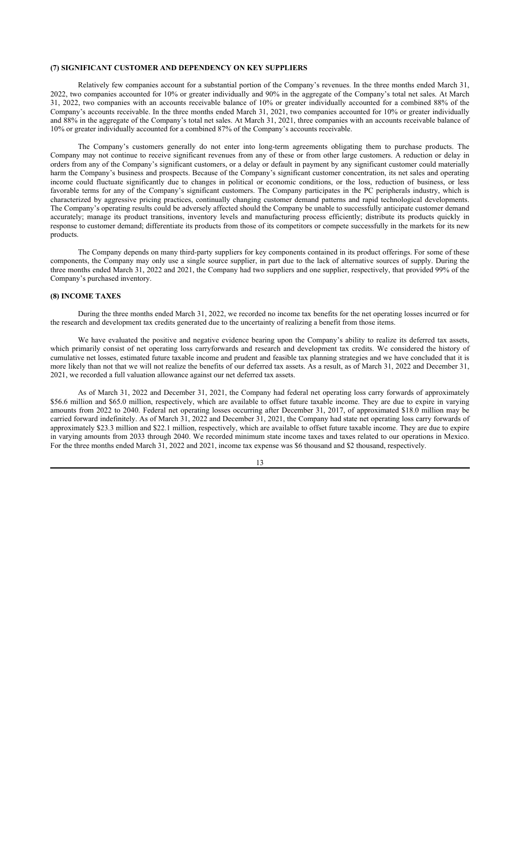## **(7) SIGNIFICANT CUSTOMER AND DEPENDENCY ON KEY SUPPLIERS**

Relatively few companies account for a substantial portion of the Company's revenues. In the three months ended March 31, 2022, two companies accounted for 10% or greater individually and 90% in the aggregate of the Company's total net sales. At March 31, 2022, two companies with an accounts receivable balance of 10% or greater individually accounted for a combined 88% of the Company's accounts receivable. In the three months ended March 31, 2021, two companies accounted for 10% or greater individually and 88% in the aggregate of the Company's total net sales. At March 31, 2021, three companies with an accounts receivable balance of 10% or greater individually accounted for a combined 87% of the Company's accounts receivable.

The Company's customers generally do not enter into long-term agreements obligating them to purchase products. The Company may not continue to receive significant revenues from any of these or from other large customers. A reduction or delay in orders from any of the Company's significant customers, or a delay or default in payment by any significant customer could materially harm the Company's business and prospects. Because of the Company's significant customer concentration, its net sales and operating income could fluctuate significantly due to changes in political or economic conditions, or the loss, reduction of business, or less favorable terms for any of the Company's significant customers. The Company participates in the PC peripherals industry, which is characterized by aggressive pricing practices, continually changing customer demand patterns and rapid technological developments. The Company's operating results could be adversely affected should the Company be unable to successfully anticipate customer demand accurately; manage its product transitions, inventory levels and manufacturing process efficiently; distribute its products quickly in response to customer demand; differentiate its products from those of its competitors or compete successfully in the markets for its new products.

The Company depends on many third-party suppliers for key components contained in its product offerings. For some of these components, the Company may only use a single source supplier, in part due to the lack of alternative sources of supply. During the three months ended March 31, 2022 and 2021, the Company had two suppliers and one supplier, respectively, that provided 99% of the Company's purchased inventory.

#### **(8) INCOME TAXES**

During the three months ended March 31, 2022, we recorded no income tax benefits for the net operating losses incurred or for the research and development tax credits generated due to the uncertainty of realizing a benefit from those items.

We have evaluated the positive and negative evidence bearing upon the Company's ability to realize its deferred tax assets, which primarily consist of net operating loss carryforwards and research and development tax credits. We considered the history of cumulative net losses, estimated future taxable income and prudent and feasible tax planning strategies and we have concluded that it is more likely than not that we will not realize the benefits of our deferred tax assets. As a result, as of March 31, 2022 and December 31, 2021, we recorded a full valuation allowance against our net deferred tax assets.

As of March 31, 2022 and December 31, 2021, the Company had federal net operating loss carry forwards of approximately \$56.6 million and \$65.0 million, respectively, which are available to offset future taxable income. They are due to expire in varying amounts from 2022 to 2040. Federal net operating losses occurring after December 31, 2017, of approximated \$18.0 million may be carried forward indefinitely. As of March 31, 2022 and December 31, 2021, the Company had state net operating loss carry forwards of approximately \$23.3 million and \$22.1 million, respectively, which are available to offset future taxable income. They are due to expire in varying amounts from 2033 through 2040. We recorded minimum state income taxes and taxes related to our operations in Mexico. For the three months ended March 31, 2022 and 2021, income tax expense was \$6 thousand and \$2 thousand, respectively.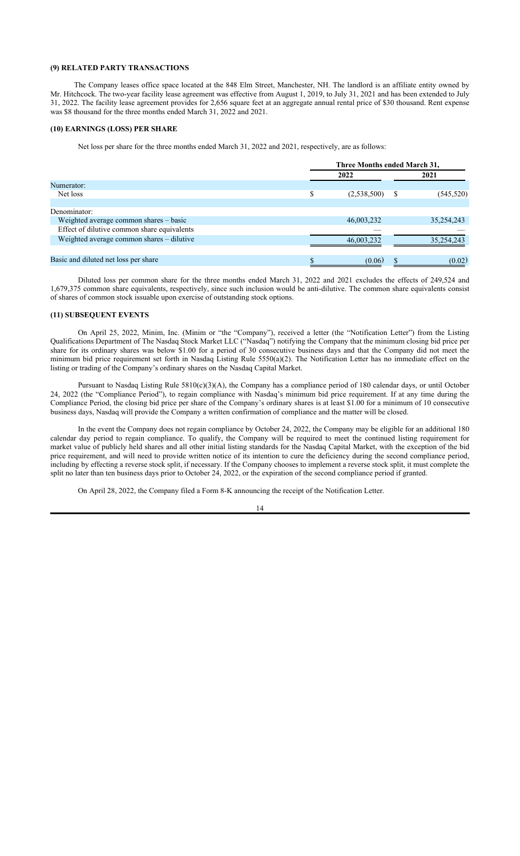#### **(9) RELATED PARTY TRANSACTIONS**

The Company leases office space located at the 848 Elm Street, Manchester, NH. The landlord is an affiliate entity owned by Mr. Hitchcock. The two-year facility lease agreement was effective from August 1, 2019, to July 31, 2021 and has been extended to July 31, 2022. The facility lease agreement provides for 2,656 square feet at an aggregate annual rental price of \$30 thousand. Rent expense was \$8 thousand for the three months ended March 31, 2022 and 2021.

## **(10) EARNINGS (LOSS) PER SHARE**

Net loss per share for the three months ended March 31, 2022 and 2021, respectively, are as follows:

|                                             | Three Months ended March 31, |      |            |  |  |  |  |  |
|---------------------------------------------|------------------------------|------|------------|--|--|--|--|--|
|                                             | 2022                         | 2021 |            |  |  |  |  |  |
| Numerator:                                  |                              |      |            |  |  |  |  |  |
| Net loss                                    | \$<br>(2,538,500)            | -S   | (545, 520) |  |  |  |  |  |
|                                             |                              |      |            |  |  |  |  |  |
| Denominator:                                |                              |      |            |  |  |  |  |  |
| Weighted average common shares - basic      | 46,003,232                   |      | 35,254,243 |  |  |  |  |  |
| Effect of dilutive common share equivalents |                              |      |            |  |  |  |  |  |
| Weighted average common shares - dilutive   | 46,003,232                   |      | 35,254,243 |  |  |  |  |  |
|                                             |                              |      |            |  |  |  |  |  |
| Basic and diluted net loss per share        | (0.06)                       |      | (0.02)     |  |  |  |  |  |

Diluted loss per common share for the three months ended March 31, 2022 and 2021 excludes the effects of 249,524 and 1,679,375 common share equivalents, respectively, since such inclusion would be anti-dilutive. The common share equivalents consist of shares of common stock issuable upon exercise of outstanding stock options.

## **(11) SUBSEQUENT EVENTS**

On April 25, 2022, Minim, Inc. (Minim or "the "Company"), received a letter (the "Notification Letter") from the Listing Qualifications Department of The Nasdaq Stock Market LLC ("Nasdaq") notifying the Company that the minimum closing bid price per share for its ordinary shares was below \$1.00 for a period of 30 consecutive business days and that the Company did not meet the minimum bid price requirement set forth in Nasdaq Listing Rule 5550(a)(2). The Notification Letter has no immediate effect on the listing or trading of the Company's ordinary shares on the Nasdaq Capital Market.

Pursuant to Nasdaq Listing Rule 5810(c)(3)(A), the Company has a compliance period of 180 calendar days, or until October 24, 2022 (the "Compliance Period"), to regain compliance with Nasdaq's minimum bid price requirement. If at any time during the Compliance Period, the closing bid price per share of the Company's ordinary shares is at least \$1.00 for a minimum of 10 consecutive business days, Nasdaq will provide the Company a written confirmation of compliance and the matter will be closed.

In the event the Company does not regain compliance by October 24, 2022, the Company may be eligible for an additional 180 calendar day period to regain compliance. To qualify, the Company will be required to meet the continued listing requirement for market value of publicly held shares and all other initial listing standards for the Nasdaq Capital Market, with the exception of the bid price requirement, and will need to provide written notice of its intention to cure the deficiency during the second compliance period, including by effecting a reverse stock split, if necessary. If the Company chooses to implement a reverse stock split, it must complete the split no later than ten business days prior to October 24, 2022, or the expiration of the second compliance period if granted.

On April 28, 2022, the Company filed a Form 8-K announcing the receipt of the Notification Letter.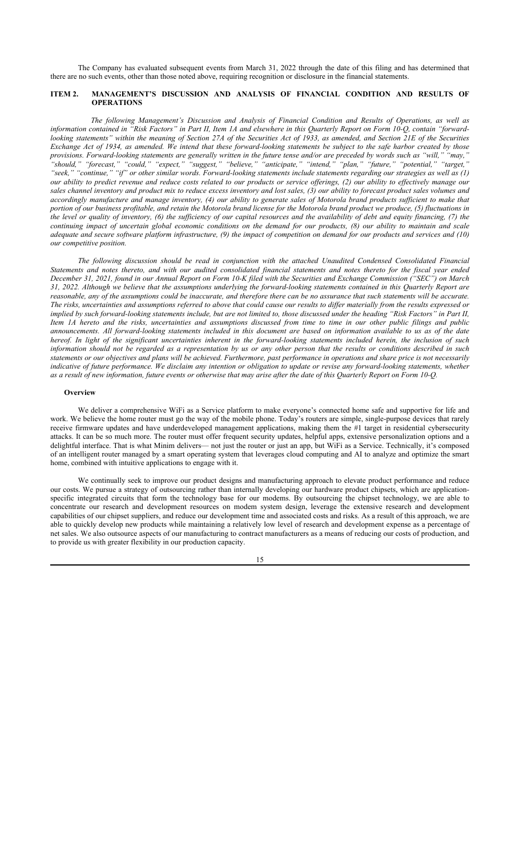The Company has evaluated subsequent events from March 31, 2022 through the date of this filing and has determined that there are no such events, other than those noted above, requiring recognition or disclosure in the financial statements.

## **ITEM 2. MANAGEMENT'S DISCUSSION AND ANALYSIS OF FINANCIAL CONDITION AND RESULTS OF OPERATIONS**

*The following Management's Discussion and Analysis of Financial Condition and Results of Operations, as well as information contained in "Risk Factors" in Part II, Item 1A and elsewhere in this Quarterly Report on Form 10-Q, contain "forwardlooking statements" within the meaning of Section 27A of the Securities Act of 1933, as amended, and Section 21E of the Securities Exchange Act of 1934, as amended. We intend that these forward-looking statements be subject to the safe harbor created by those provisions. Forward-looking statements are generally written in the future tense and/or are preceded by words such as "will," "may," "should," "forecast," "could," "expect," "suggest," "believe," "anticipate," "intend," "plan," "future," "potential," "target," "seek," "continue," "if" or other similar words. Forward-looking statements include statements regarding our strategies as well as (1) our ability to predict revenue and reduce costs related to our products or service offerings, (2) our ability to effectively manage our sales channel inventory and product mix to reduce excess inventory and lost sales, (3) our ability to forecast product sales volumes and accordingly manufacture and manage inventory, (4) our ability to generate sales of Motorola brand products sufficient to make that portion of our business profitable, and retain the Motorola brand license for the Motorola brand product we produce, (5) fluctuations in the level or quality of inventory, (6) the sufficiency of our capital resources and the availability of debt and equity financing, (7) the continuing impact of uncertain global economic conditions on the demand for our products, (8) our ability to maintain and scale adequate and secure software platform infrastructure, (9) the impact of competition on demand for our products and services and (10) our competitive position.*

*The following discussion should be read in conjunction with the attached Unaudited Condensed Consolidated Financial Statements and notes thereto, and with our audited consolidated financial statements and notes thereto for the fiscal year ended December 31, 2021, found in our Annual Report on Form 10-K filed with the Securities and Exchange Commission ("SEC") on March 31, 2022. Although we believe that the assumptions underlying the forward-looking statements contained in this Quarterly Report are reasonable, any of the assumptions could be inaccurate, and therefore there can be no assurance that such statements will be accurate. The risks, uncertainties and assumptions referred to above that could cause our results to differ materially from the results expressed or implied by such forward-looking statements include, but are not limited to, those discussed under the heading "Risk Factors" in Part II, Item 1A hereto and the risks, uncertainties and assumptions discussed from time to time in our other public filings and public announcements. All forward-looking statements included in this document are based on information available to us as of the date hereof. In light of the significant uncertainties inherent in the forward-looking statements included herein, the inclusion of such information should not be regarded as a representation by us or any other person that the results or conditions described in such statements or our objectives and plans will be achieved. Furthermore, past performance in operations and share price is not necessarily indicative of future performance. We disclaim any intention or obligation to update or revise any forward-looking statements, whether as a result of new information, future events or otherwise that may arise after the date of this Quarterly Report on Form 10-Q.*

#### **Overview**

We deliver a comprehensive WiFi as a Service platform to make everyone's connected home safe and supportive for life and work. We believe the home router must go the way of the mobile phone. Today's routers are simple, single-purpose devices that rarely receive firmware updates and have underdeveloped management applications, making them the #1 target in residential cybersecurity attacks. It can be so much more. The router must offer frequent security updates, helpful apps, extensive personalization options and a delightful interface. That is what Minim delivers— not just the router or just an app, but WiFi as a Service. Technically, it's composed of an intelligent router managed by a smart operating system that leverages cloud computing and AI to analyze and optimize the smart home, combined with intuitive applications to engage with it.

We continually seek to improve our product designs and manufacturing approach to elevate product performance and reduce our costs. We pursue a strategy of outsourcing rather than internally developing our hardware product chipsets, which are applicationspecific integrated circuits that form the technology base for our modems. By outsourcing the chipset technology, we are able to concentrate our research and development resources on modem system design, leverage the extensive research and development capabilities of our chipset suppliers, and reduce our development time and associated costs and risks. As a result of this approach, we are able to quickly develop new products while maintaining a relatively low level of research and development expense as a percentage of net sales. We also outsource aspects of our manufacturing to contract manufacturers as a means of reducing our costs of production, and to provide us with greater flexibility in our production capacity.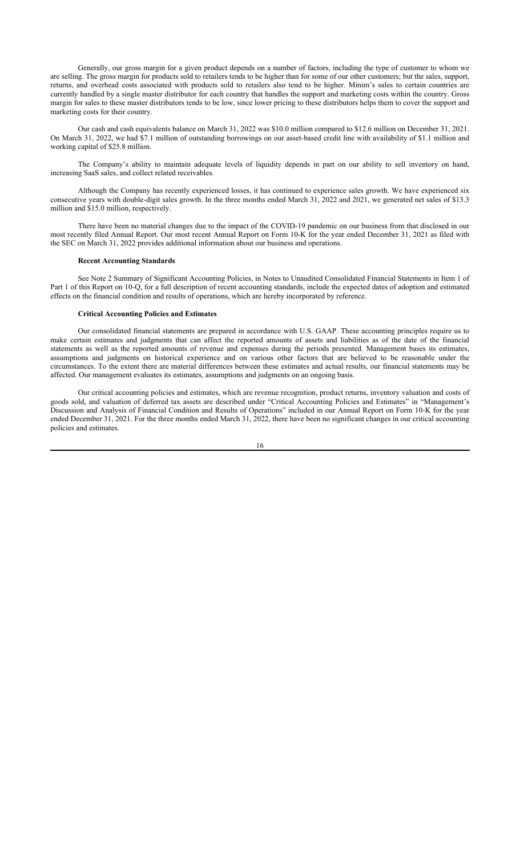Generally, our gross margin for a given product depends on a number of factors, including the type of customer to whom we are selling. The gross margin for products sold to retailers tends to be higher than for some of our other customers; but the sales, support, returns, and overhead costs associated with products sold to retailers also tend to be higher. Minim's sales to certain countries are currently handled by a single master distributor for each country that handles the support and marketing costs within the country. Gross margin for sales to these master distributors tends to be low, since lower pricing to these distributors helps them to cover the support and marketing costs for their country.

Our cash and cash equivalents balance on March 31, 2022 was \$10.0 million compared to \$12.6 million on December 31, 2021. On March 31, 2022, we had \$7.1 million of outstanding borrowings on our asset-based credit line with availability of \$1.1 million and working capital of \$25.8 million.

The Company's ability to maintain adequate levels of liquidity depends in part on our ability to sell inventory on hand, increasing SaaS sales, and collect related receivables.

Although the Company has recently experienced losses, it has continued to experience sales growth. We have experienced six consecutive years with double-digit sales growth. In the three months ended March 31, 2022 and 2021, we generated net sales of \$13.3 million and \$15.0 million, respectively.

There have been no material changes due to the impact of the COVID-19 pandemic on our business from that disclosed in our most recently filed Annual Report. Our most recent Annual Report on Form 10-K for the year ended December 31, 2021 as filed with the SEC on March 31, 2022 provides additional information about our business and operations.

## **Recent Accounting Standards**

See Note 2 Summary of Significant Accounting Policies, in Notes to Unaudited Consolidated Financial Statements in Item 1 of Part 1 of this Report on 10-Q, for a full description of recent accounting standards, include the expected dates of adoption and estimated effects on the financial condition and results of operations, which are hereby incorporated by reference.

### **Critical Accounting Policies and Estimates**

Our consolidated financial statements are prepared in accordance with U.S. GAAP. These accounting principles require us to make certain estimates and judgments that can affect the reported amounts of assets and liabilities as of the date of the financial statements as well as the reported amounts of revenue and expenses during the periods presented. Management bases its estimates, assumptions and judgments on historical experience and on various other factors that are believed to be reasonable under the circumstances. To the extent there are material differences between these estimates and actual results, our financial statements may be affected. Our management evaluates its estimates, assumptions and judgments on an ongoing basis.

Our critical accounting policies and estimates, which are revenue recognition, product returns, inventory valuation and costs of goods sold, and valuation of deferred tax assets are described under "Critical Accounting Policies and Estimates" in "Management's Discussion and Analysis of Financial Condition and Results of Operations" included in our Annual Report on Form 10-K for the year ended December 31, 2021. For the three months ended March 31, 2022, there have been no significant changes in our critical accounting policies and estimates.

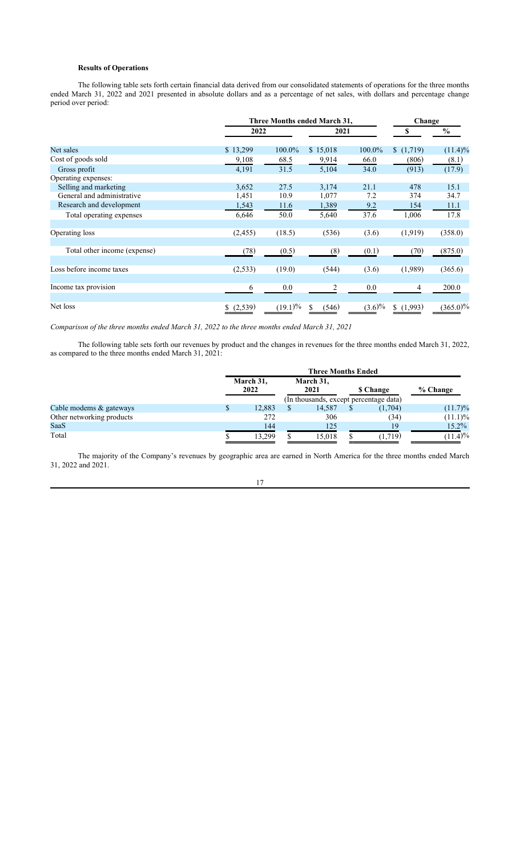## **Results of Operations**

The following table sets forth certain financial data derived from our consolidated statements of operations for the three months ended March 31, 2022 and 2021 presented in absolute dollars and as a percentage of net sales, with dollars and percentage change period over period:

|                              |               | Three Months ended March 31, |                |           |         |             |  |
|------------------------------|---------------|------------------------------|----------------|-----------|---------|-------------|--|
|                              | 2022          |                              | 2021           |           |         | $\%$        |  |
| Net sales                    | \$13,299      | 100.0%                       | \$15,018       | 100.0%    | (1,719) | $(11.4)\%$  |  |
| Cost of goods sold           | 9,108         | 68.5                         | 9,914          | 66.0      | (806)   | (8.1)       |  |
| Gross profit                 | 4,191         | 31.5                         | 5,104          | 34.0      | (913)   | (17.9)      |  |
| Operating expenses:          |               |                              |                |           |         |             |  |
| Selling and marketing        | 3,652         | 27.5                         | 3,174          | 21.1      | 478     | 15.1        |  |
| General and administrative   | 1,451         | 10.9                         | 1,077          | 7.2       | 374     | 34.7        |  |
| Research and development     | 1,543         | 11.6                         | 1,389          | 9.2       | 154     | 11.1        |  |
| Total operating expenses     | 6,646         | 50.0                         | 5,640          | 37.6      | 1,006   | 17.8        |  |
| Operating loss               | (2,455)       | (18.5)                       | (536)          | (3.6)     | (1,919) | (358.0)     |  |
| Total other income (expense) | (78)          | (0.5)                        | (8)            | (0.1)     | (70)    | (875.0)     |  |
| Loss before income taxes     | (2,533)       | (19.0)                       | (544)          | (3.6)     | (1,989) | (365.6)     |  |
| Income tax provision         | 6             | $0.0\,$                      | $\overline{c}$ | 0.0       | 4       | 200.0       |  |
| Net loss                     | (2,539)<br>S. | $(19.1)$ %                   | (546)<br>S.    | $(3.6)\%$ | (1,993) | $(365.0)\%$ |  |

*Comparison of the three months ended March 31, 2022 to the three months ended March 31, 2021* 

The following table sets forth our revenues by product and the changes in revenues for the three months ended March 31, 2022, as compared to the three months ended March 31, 2021:

|                           | <b>Three Months Ended</b> |  |                                                             |  |           |            |  |
|---------------------------|---------------------------|--|-------------------------------------------------------------|--|-----------|------------|--|
|                           | March 31,<br>2022         |  | March 31,<br>2021<br>(In thousands, except percentage data) |  | \$ Change | % Change   |  |
| Cable modems & gateways   | 12.883                    |  | 14,587                                                      |  | (1,704)   | $(11.7)\%$ |  |
| Other networking products | 272                       |  | 306                                                         |  | 34)       | $(11.1)\%$ |  |
| SaaS                      | 144                       |  | 125                                                         |  | 19        | $15.2\%$   |  |
| Total                     | 13.299                    |  | 15,018                                                      |  | (1.719)   | $(11.4)\%$ |  |

The majority of the Company's revenues by geographic area are earned in North America for the three months ended March 31, 2022 and 2021.

## 17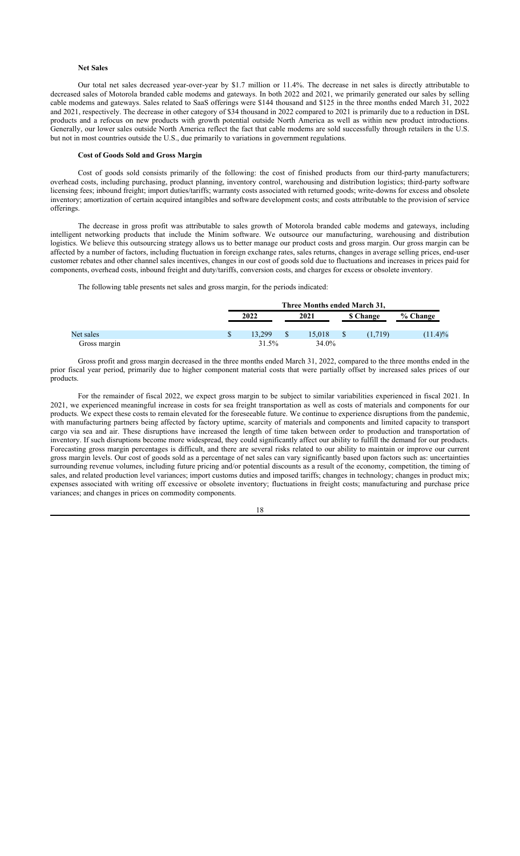### **Net Sales**

Our total net sales decreased year-over-year by \$1.7 million or 11.4%. The decrease in net sales is directly attributable to decreased sales of Motorola branded cable modems and gateways. In both 2022 and 2021, we primarily generated our sales by selling cable modems and gateways. Sales related to SaaS offerings were \$144 thousand and \$125 in the three months ended March 31, 2022 and 2021, respectively. The decrease in other category of \$34 thousand in 2022 compared to 2021 is primarily due to a reduction in DSL products and a refocus on new products with growth potential outside North America as well as within new product introductions. Generally, our lower sales outside North America reflect the fact that cable modems are sold successfully through retailers in the U.S. but not in most countries outside the U.S., due primarily to variations in government regulations.

#### **Cost of Goods Sold and Gross Margin**

Cost of goods sold consists primarily of the following: the cost of finished products from our third-party manufacturers; overhead costs, including purchasing, product planning, inventory control, warehousing and distribution logistics; third-party software licensing fees; inbound freight; import duties/tariffs; warranty costs associated with returned goods; write-downs for excess and obsolete inventory; amortization of certain acquired intangibles and software development costs; and costs attributable to the provision of service offerings.

The decrease in gross profit was attributable to sales growth of Motorola branded cable modems and gateways, including intelligent networking products that include the Minim software. We outsource our manufacturing, warehousing and distribution logistics. We believe this outsourcing strategy allows us to better manage our product costs and gross margin. Our gross margin can be affected by a number of factors, including fluctuation in foreign exchange rates, sales returns, changes in average selling prices, end-user customer rebates and other channel sales incentives, changes in our cost of goods sold due to fluctuations and increases in prices paid for components, overhead costs, inbound freight and duty/tariffs, conversion costs, and charges for excess or obsolete inventory.

### The following table presents net sales and gross margin, for the periods indicated:

|              | Three Months ended March 31, |  |        |  |                 |            |  |
|--------------|------------------------------|--|--------|--|-----------------|------------|--|
|              | 2022                         |  | 2021   |  | <b>S</b> Change | % Change   |  |
| Net sales    | 13.299                       |  | 15.018 |  | (1.719)         | $(11.4)\%$ |  |
| Gross margin | 31.5%                        |  | 34.0%  |  |                 |            |  |

Gross profit and gross margin decreased in the three months ended March 31, 2022, compared to the three months ended in the prior fiscal year period, primarily due to higher component material costs that were partially offset by increased sales prices of our products.

For the remainder of fiscal 2022, we expect gross margin to be subject to similar variabilities experienced in fiscal 2021. In 2021, we experienced meaningful increase in costs for sea freight transportation as well as costs of materials and components for our products. We expect these costs to remain elevated for the foreseeable future. We continue to experience disruptions from the pandemic, with manufacturing partners being affected by factory uptime, scarcity of materials and components and limited capacity to transport cargo via sea and air. These disruptions have increased the length of time taken between order to production and transportation of inventory. If such disruptions become more widespread, they could significantly affect our ability to fulfill the demand for our products. Forecasting gross margin percentages is difficult, and there are several risks related to our ability to maintain or improve our current gross margin levels. Our cost of goods sold as a percentage of net sales can vary significantly based upon factors such as: uncertainties surrounding revenue volumes, including future pricing and/or potential discounts as a result of the economy, competition, the timing of sales, and related production level variances; import customs duties and imposed tariffs; changes in technology; changes in product mix; expenses associated with writing off excessive or obsolete inventory; fluctuations in freight costs; manufacturing and purchase price variances; and changes in prices on commodity components.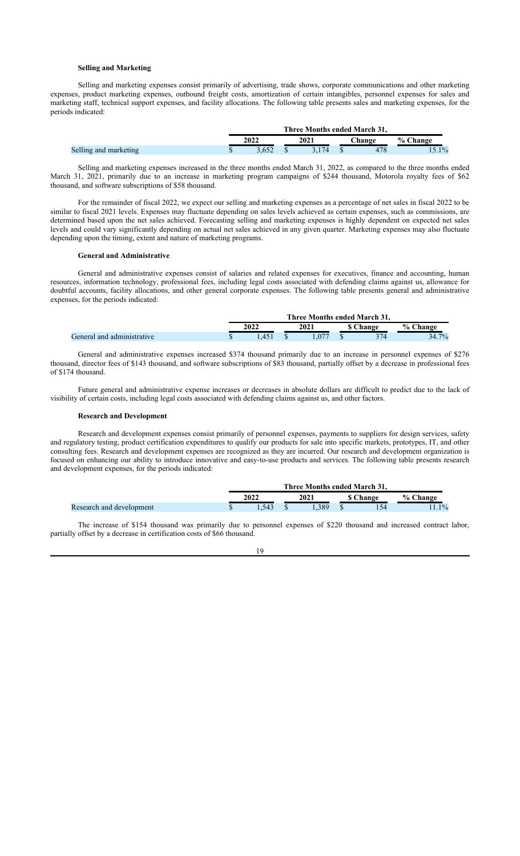### **Selling and Marketing**

Selling and marketing expenses consist primarily of advertising, trade shows, corporate communications and other marketing expenses, product marketing expenses, outbound freight costs, amortization of certain intangibles, personnel expenses for sales and marketing staff, technical support expenses, and facility allocations. The following table presents sales and marketing expenses, for the periods indicated:

|                       | Three Months ended March 31, |      |       |        |  |                |  |
|-----------------------|------------------------------|------|-------|--------|--|----------------|--|
|                       | 2022                         | 2021 |       | `hange |  | $\%$<br>hange: |  |
| Selling and marketing | 3.652                        |      | 3.174 |        |  | $.3.1\%$       |  |

Selling and marketing expenses increased in the three months ended March 31, 2022, as compared to the three months ended March 31, 2021, primarily due to an increase in marketing program campaigns of \$244 thousand, Motorola royalty fees of \$62 thousand, and software subscriptions of \$58 thousand.

For the remainder of fiscal 2022, we expect our selling and marketing expenses as a percentage of net sales in fiscal 2022 to be similar to fiscal 2021 levels. Expenses may fluctuate depending on sales levels achieved as certain expenses, such as commissions, are determined based upon the net sales achieved. Forecasting selling and marketing expenses is highly dependent on expected net sales levels and could vary significantly depending on actual net sales achieved in any given quarter. Marketing expenses may also fluctuate depending upon the timing, extent and nature of marketing programs.

#### **General and Administrative**

General and administrative expenses consist of salaries and related expenses for executives, finance and accounting, human resources, information technology, professional fees, including legal costs associated with defending claims against us, allowance for doubtful accounts, facility allocations, and other general corporate expenses. The following table presents general and administrative expenses, for the periods indicated:

|                            | Three Months ended March 31, |  |       |  |               |       |
|----------------------------|------------------------------|--|-------|--|---------------|-------|
|                            | 2022                         |  | 2021  |  | <b>Thange</b> | % Cl  |
| General and administrative | .451                         |  | 1.077 |  |               | 34.7% |

General and administrative expenses increased \$374 thousand primarily due to an increase in personnel expenses of \$276 thousand, director fees of \$143 thousand, and software subscriptions of \$83 thousand, partially offset by a decrease in professional fees of \$174 thousand.

Future general and administrative expense increases or decreases in absolute dollars are difficult to predict due to the lack of visibility of certain costs, including legal costs associated with defending claims against us, and other factors.

#### **Research and Development**

Research and development expenses consist primarily of personnel expenses, payments to suppliers for design services, safety and regulatory testing, product certification expenditures to qualify our products for sale into specific markets, prototypes, IT, and other consulting fees. Research and development expenses are recognized as they are incurred. Our research and development organization is focused on enhancing our ability to introduce innovative and easy-to-use products and services. The following table presents research and development expenses, for the periods indicated:

|                          | Three Months ended March 31. |  |     |  |        |         |  |
|--------------------------|------------------------------|--|-----|--|--------|---------|--|
|                          | 2022                         |  |     |  | ∵hange | %       |  |
| Research and development | .543                         |  | 290 |  |        | $1.1\%$ |  |

The increase of \$154 thousand was primarily due to personnel expenses of \$220 thousand and increased contract labor, partially offset by a decrease in certification costs of \$66 thousand.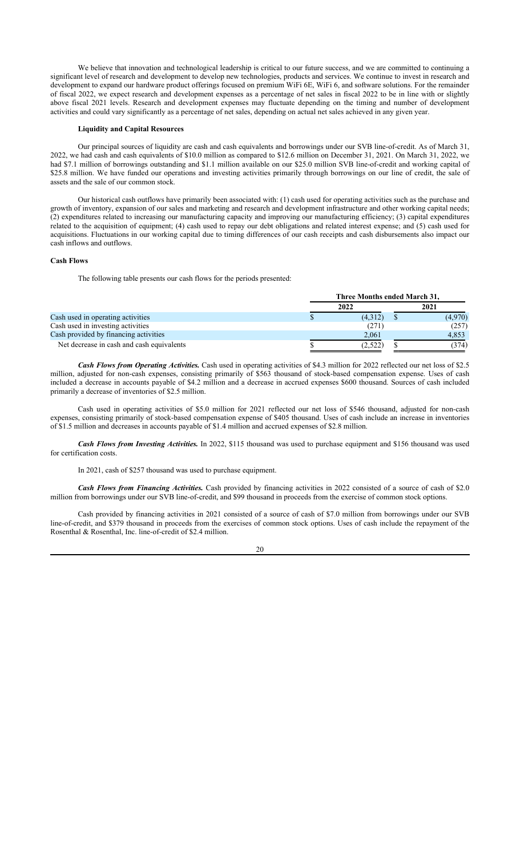We believe that innovation and technological leadership is critical to our future success, and we are committed to continuing a significant level of research and development to develop new technologies, products and services. We continue to invest in research and development to expand our hardware product offerings focused on premium WiFi 6E, WiFi 6, and software solutions. For the remainder of fiscal 2022, we expect research and development expenses as a percentage of net sales in fiscal 2022 to be in line with or slightly above fiscal 2021 levels. Research and development expenses may fluctuate depending on the timing and number of development activities and could vary significantly as a percentage of net sales, depending on actual net sales achieved in any given year.

### **Liquidity and Capital Resources**

Our principal sources of liquidity are cash and cash equivalents and borrowings under our SVB line-of-credit. As of March 31, 2022, we had cash and cash equivalents of \$10.0 million as compared to \$12.6 million on December 31, 2021. On March 31, 2022, we had \$7.1 million of borrowings outstanding and \$1.1 million available on our \$25.0 million SVB line-of-credit and working capital of \$25.8 million. We have funded our operations and investing activities primarily through borrowings on our line of credit, the sale of assets and the sale of our common stock.

Our historical cash outflows have primarily been associated with: (1) cash used for operating activities such as the purchase and growth of inventory, expansion of our sales and marketing and research and development infrastructure and other working capital needs; (2) expenditures related to increasing our manufacturing capacity and improving our manufacturing efficiency; (3) capital expenditures related to the acquisition of equipment; (4) cash used to repay our debt obligations and related interest expense; and (5) cash used for acquisitions. Fluctuations in our working capital due to timing differences of our cash receipts and cash disbursements also impact our cash inflows and outflows.

## **Cash Flows**

The following table presents our cash flows for the periods presented:

|                                           | Three Months ended March 31, |  |         |  |  |
|-------------------------------------------|------------------------------|--|---------|--|--|
|                                           | 2022                         |  | 2021    |  |  |
| Cash used in operating activities         | (4.312)                      |  | (4,970) |  |  |
| Cash used in investing activities         | (271)                        |  | (257)   |  |  |
| Cash provided by financing activities     | 2,061                        |  | 4.853   |  |  |
| Net decrease in cash and cash equivalents | (2.522)                      |  | (374)   |  |  |

*Cash Flows from Operating Activities.* Cash used in operating activities of \$4.3 million for 2022 reflected our net loss of \$2.5 million, adjusted for non-cash expenses, consisting primarily of \$563 thousand of stock-based compensation expense. Uses of cash included a decrease in accounts payable of \$4.2 million and a decrease in accrued expenses \$600 thousand. Sources of cash included primarily a decrease of inventories of \$2.5 million.

Cash used in operating activities of \$5.0 million for 2021 reflected our net loss of \$546 thousand, adjusted for non-cash expenses, consisting primarily of stock-based compensation expense of \$405 thousand. Uses of cash include an increase in inventories of \$1.5 million and decreases in accounts payable of \$1.4 million and accrued expenses of \$2.8 million.

*Cash Flows from Investing Activities.* In 2022, \$115 thousand was used to purchase equipment and \$156 thousand was used for certification costs.

In 2021, cash of \$257 thousand was used to purchase equipment.

*Cash Flows from Financing Activities.* Cash provided by financing activities in 2022 consisted of a source of cash of \$2.0 million from borrowings under our SVB line-of-credit, and \$99 thousand in proceeds from the exercise of common stock options.

Cash provided by financing activities in 2021 consisted of a source of cash of \$7.0 million from borrowings under our SVB line-of-credit, and \$379 thousand in proceeds from the exercises of common stock options. Uses of cash include the repayment of the Rosenthal & Rosenthal, Inc. line-of-credit of \$2.4 million.

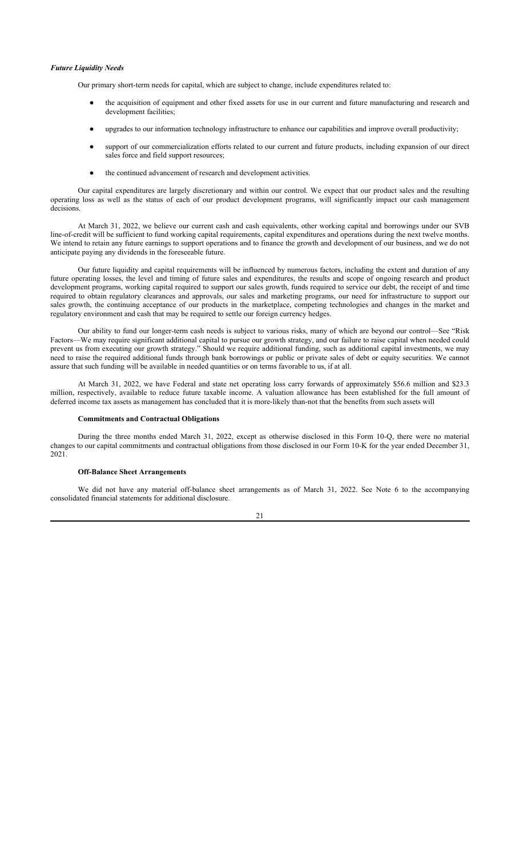### *Future Liquidity Needs*

Our primary short-term needs for capital, which are subject to change, include expenditures related to:

- the acquisition of equipment and other fixed assets for use in our current and future manufacturing and research and development facilities;
- upgrades to our information technology infrastructure to enhance our capabilities and improve overall productivity;
- support of our commercialization efforts related to our current and future products, including expansion of our direct sales force and field support resources;
- the continued advancement of research and development activities.

Our capital expenditures are largely discretionary and within our control. We expect that our product sales and the resulting operating loss as well as the status of each of our product development programs, will significantly impact our cash management decisions.

At March 31, 2022, we believe our current cash and cash equivalents, other working capital and borrowings under our SVB line-of-credit will be sufficient to fund working capital requirements, capital expenditures and operations during the next twelve months. We intend to retain any future earnings to support operations and to finance the growth and development of our business, and we do not anticipate paying any dividends in the foreseeable future.

Our future liquidity and capital requirements will be influenced by numerous factors, including the extent and duration of any future operating losses, the level and timing of future sales and expenditures, the results and scope of ongoing research and product development programs, working capital required to support our sales growth, funds required to service our debt, the receipt of and time required to obtain regulatory clearances and approvals, our sales and marketing programs, our need for infrastructure to support our sales growth, the continuing acceptance of our products in the marketplace, competing technologies and changes in the market and regulatory environment and cash that may be required to settle our foreign currency hedges.

Our ability to fund our longer-term cash needs is subject to various risks, many of which are beyond our control—See "Risk Factors—We may require significant additional capital to pursue our growth strategy, and our failure to raise capital when needed could prevent us from executing our growth strategy." Should we require additional funding, such as additional capital investments, we may need to raise the required additional funds through bank borrowings or public or private sales of debt or equity securities. We cannot assure that such funding will be available in needed quantities or on terms favorable to us, if at all.

At March 31, 2022, we have Federal and state net operating loss carry forwards of approximately \$56.6 million and \$23.3 million, respectively, available to reduce future taxable income. A valuation allowance has been established for the full amount of deferred income tax assets as management has concluded that it is more-likely than-not that the benefits from such assets will

## **Commitments and Contractual Obligations**

During the three months ended March 31, 2022, except as otherwise disclosed in this Form 10-Q, there were no material changes to our capital commitments and contractual obligations from those disclosed in our Form 10-K for the year ended December 31, 2021.

### **Off-Balance Sheet Arrangements**

We did not have any material off-balance sheet arrangements as of March 31, 2022. See Note 6 to the accompanying consolidated financial statements for additional disclosure.

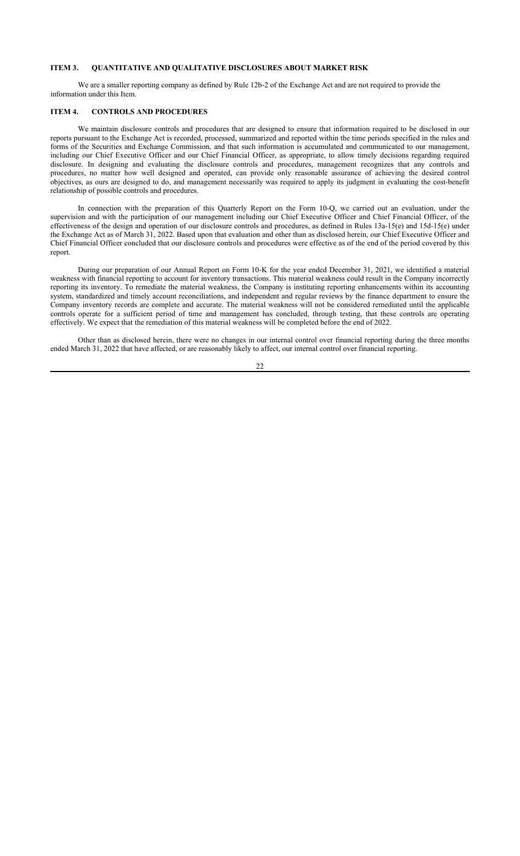## **ITEM 3. QUANTITATIVE AND QUALITATIVE DISCLOSURES ABOUT MARKET RISK**

We are a smaller reporting company as defined by Rule 12b-2 of the Exchange Act and are not required to provide the information under this Item.

## **ITEM 4. CONTROLS AND PROCEDURES**

We maintain disclosure controls and procedures that are designed to ensure that information required to be disclosed in our reports pursuant to the Exchange Act is recorded, processed, summarized and reported within the time periods specified in the rules and forms of the Securities and Exchange Commission, and that such information is accumulated and communicated to our management, including our Chief Executive Officer and our Chief Financial Officer, as appropriate, to allow timely decisions regarding required disclosure. In designing and evaluating the disclosure controls and procedures, management recognizes that any controls and procedures, no matter how well designed and operated, can provide only reasonable assurance of achieving the desired control objectives, as ours are designed to do, and management necessarily was required to apply its judgment in evaluating the cost-benefit relationship of possible controls and procedures.

In connection with the preparation of this Quarterly Report on the Form 10-Q, we carried out an evaluation, under the supervision and with the participation of our management including our Chief Executive Officer and Chief Financial Officer, of the effectiveness of the design and operation of our disclosure controls and procedures, as defined in Rules 13a-15(e) and 15d-15(e) under the Exchange Act as of March 31, 2022. Based upon that evaluation and other than as disclosed herein, our Chief Executive Officer and Chief Financial Officer concluded that our disclosure controls and procedures were effective as of the end of the period covered by this report.

During our preparation of our Annual Report on Form 10-K for the year ended December 31, 2021, we identified a material weakness with financial reporting to account for inventory transactions. This material weakness could result in the Company incorrectly reporting its inventory. To remediate the material weakness, the Company is instituting reporting enhancements within its accounting system, standardized and timely account reconciliations, and independent and regular reviews by the finance department to ensure the Company inventory records are complete and accurate. The material weakness will not be considered remediated until the applicable controls operate for a sufficient period of time and management has concluded, through testing, that these controls are operating effectively. We expect that the remediation of this material weakness will be completed before the end of 2022.

Other than as disclosed herein, there were no changes in our internal control over financial reporting during the three months ended March 31, 2022 that have affected, or are reasonably likely to affect, our internal control over financial reporting.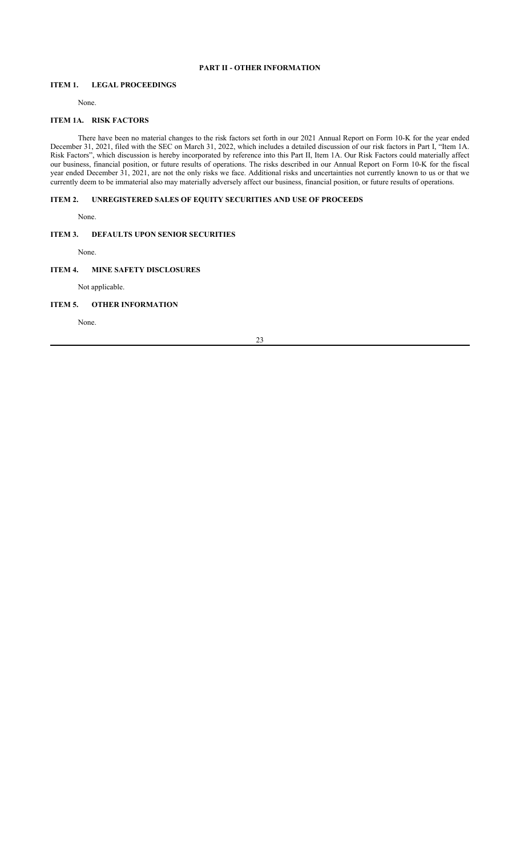## **PART II - OTHER INFORMATION**

## **ITEM 1. LEGAL PROCEEDINGS**

None.

## **ITEM 1A. RISK FACTORS**

There have been no material changes to the risk factors set forth in our 2021 Annual Report on Form 10-K for the year ended December 31, 2021, filed with the SEC on March 31, 2022, which includes a detailed discussion of our risk factors in Part I, "Item 1A. Risk Factors", which discussion is hereby incorporated by reference into this Part II, Item 1A. Our Risk Factors could materially affect our business, financial position, or future results of operations. The risks described in our Annual Report on Form 10-K for the fiscal year ended December 31, 2021, are not the only risks we face. Additional risks and uncertainties not currently known to us or that we currently deem to be immaterial also may materially adversely affect our business, financial position, or future results of operations.

## **ITEM 2. UNREGISTERED SALES OF EQUITY SECURITIES AND USE OF PROCEEDS**

None.

## **ITEM 3. DEFAULTS UPON SENIOR SECURITIES**

None.

## **ITEM 4. MINE SAFETY DISCLOSURES**

Not applicable.

## **ITEM 5. OTHER INFORMATION**

None.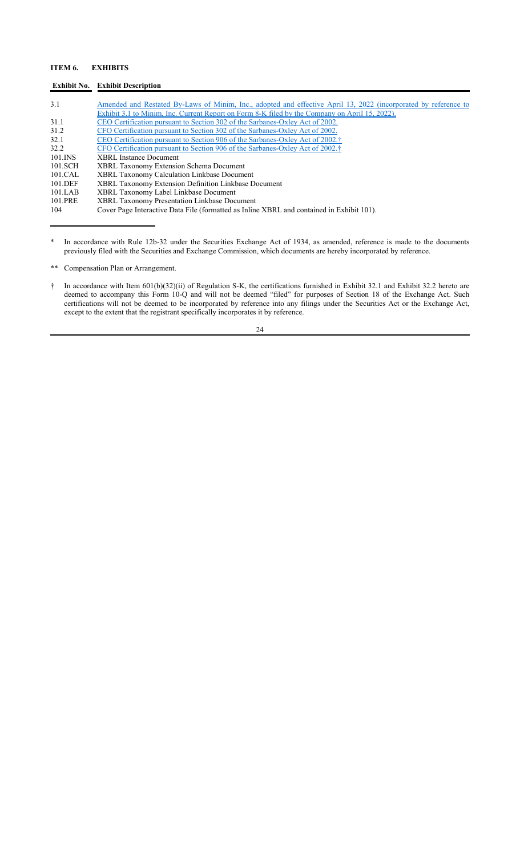## **ITEM 6. EXHIBITS**

|             | <b>Exhibit No. Exhibit Description</b>                                                                          |
|-------------|-----------------------------------------------------------------------------------------------------------------|
|             |                                                                                                                 |
| 3.1         | Amended and Restated By-Laws of Minim, Inc., adopted and effective April 13, 2022 (incorporated by reference to |
|             | Exhibit 3.1 to Minim, Inc. Current Report on Form 8-K filed by the Company on April 15, 2022).                  |
| 31.1        | CEO Certification pursuant to Section 302 of the Sarbanes-Oxley Act of 2002.                                    |
| 31.2        | CFO Certification pursuant to Section 302 of the Sarbanes-Oxley Act of 2002.                                    |
| 32.1        | CEO Certification pursuant to Section 906 of the Sarbanes-Oxley Act of 2002. <sup>†</sup>                       |
| 32.2        | CFO Certification pursuant to Section 906 of the Sarbanes-Oxley Act of 2002. <sup>†</sup>                       |
| $101$ . INS | <b>XBRL</b> Instance Document                                                                                   |
| 101.SCH     | <b>XBRL Taxonomy Extension Schema Document</b>                                                                  |
| 101.CAL     | <b>XBRL Taxonomy Calculation Linkbase Document</b>                                                              |
| 101.DEF     | <b>XBRL Taxonomy Extension Definition Linkbase Document</b>                                                     |
| 101.LAB     | XBRL Taxonomy Label Linkbase Document                                                                           |
| 101.PRE     | <b>XBRL Taxonomy Presentation Linkbase Document</b>                                                             |
| 104         | Cover Page Interactive Data File (formatted as Inline XBRL and contained in Exhibit 101).                       |

\* In accordance with Rule 12b-32 under the Securities Exchange Act of 1934, as amended, reference is made to the documents previously filed with the Securities and Exchange Commission, which documents are hereby incorporated by reference.

\*\* Compensation Plan or Arrangement.

**†** In accordance with Item 601(b)(32)(ii) of Regulation S-K, the certifications furnished in Exhibit 32.1 and Exhibit 32.2 hereto are deemed to accompany this Form 10-Q and will not be deemed "filed" for purposes of Section 18 of the Exchange Act. Such certifications will not be deemed to be incorporated by reference into any filings under the Securities Act or the Exchange Act, except to the extent that the registrant specifically incorporates it by reference.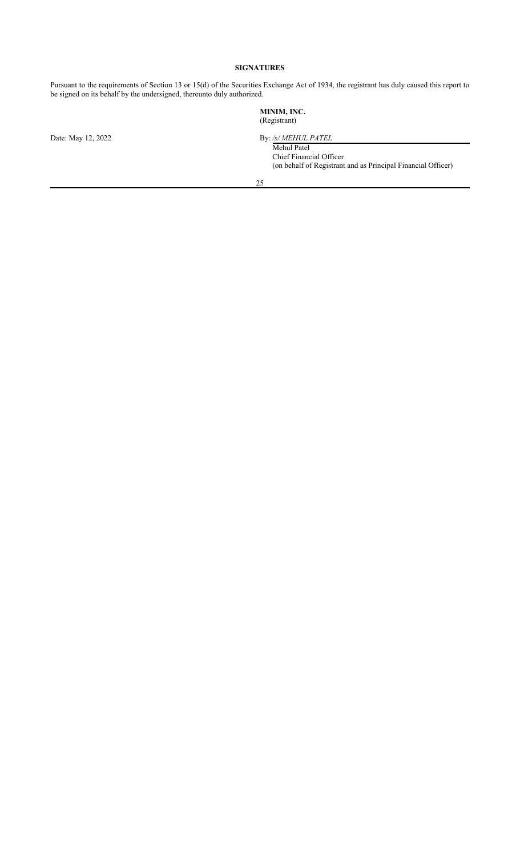## **SIGNATURES**

Pursuant to the requirements of Section 13 or 15(d) of the Securities Exchange Act of 1934, the registrant has duly caused this report to be signed on its behalf by the undersigned, thereunto duly authorized.

## **MINIM, INC.** (Registrant)

Mehul Patel Chief Financial Officer (on behalf of Registrant and as Principal Financial Officer)

25

Date: May 12, 2022 By: */s/ MEHUL PATEL*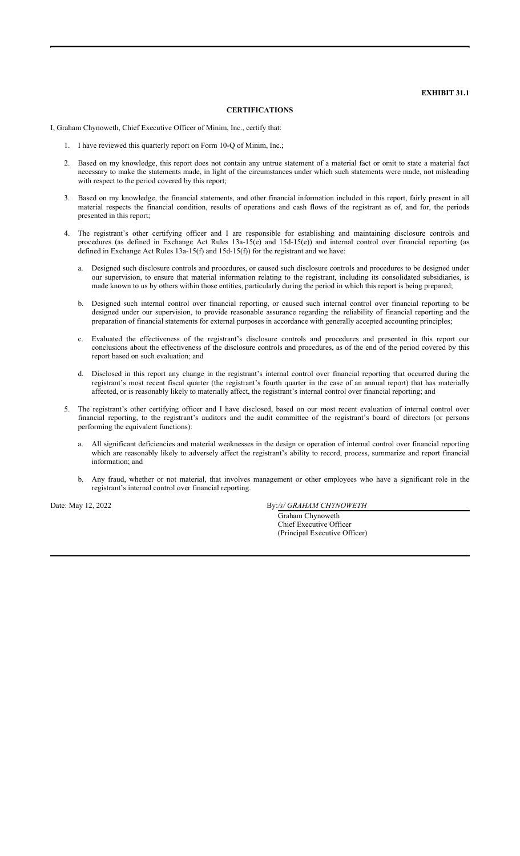## **EXHIBIT 31.1**

#### **CERTIFICATIONS**

I, Graham Chynoweth, Chief Executive Officer of Minim, Inc., certify that:

- 1. I have reviewed this quarterly report on Form 10-Q of Minim, Inc.;
- 2. Based on my knowledge, this report does not contain any untrue statement of a material fact or omit to state a material fact necessary to make the statements made, in light of the circumstances under which such statements were made, not misleading with respect to the period covered by this report;
- 3. Based on my knowledge, the financial statements, and other financial information included in this report, fairly present in all material respects the financial condition, results of operations and cash flows of the registrant as of, and for, the periods presented in this report;
- 4. The registrant's other certifying officer and I are responsible for establishing and maintaining disclosure controls and procedures (as defined in Exchange Act Rules 13a-15(e) and 15d-15(e)) and internal control over financial reporting (as defined in Exchange Act Rules 13a-15(f) and 15d-15(f)) for the registrant and we have:
	- a. Designed such disclosure controls and procedures, or caused such disclosure controls and procedures to be designed under our supervision, to ensure that material information relating to the registrant, including its consolidated subsidiaries, is made known to us by others within those entities, particularly during the period in which this report is being prepared;
	- b. Designed such internal control over financial reporting, or caused such internal control over financial reporting to be designed under our supervision, to provide reasonable assurance regarding the reliability of financial reporting and the preparation of financial statements for external purposes in accordance with generally accepted accounting principles;
	- c. Evaluated the effectiveness of the registrant's disclosure controls and procedures and presented in this report our conclusions about the effectiveness of the disclosure controls and procedures, as of the end of the period covered by this report based on such evaluation; and
	- d. Disclosed in this report any change in the registrant's internal control over financial reporting that occurred during the registrant's most recent fiscal quarter (the registrant's fourth quarter in the case of an annual report) that has materially affected, or is reasonably likely to materially affect, the registrant's internal control over financial reporting; and
- 5. The registrant's other certifying officer and I have disclosed, based on our most recent evaluation of internal control over financial reporting, to the registrant's auditors and the audit committee of the registrant's board of directors (or persons performing the equivalent functions):
	- All significant deficiencies and material weaknesses in the design or operation of internal control over financial reporting which are reasonably likely to adversely affect the registrant's ability to record, process, summarize and report financial information; and
	- b. Any fraud, whether or not material, that involves management or other employees who have a significant role in the registrant's internal control over financial reporting.

Date: May 12, 2022 By:/s/ GRAHAM CHYNOWETH

Graham Chynoweth Chief Executive Officer (Principal Executive Officer)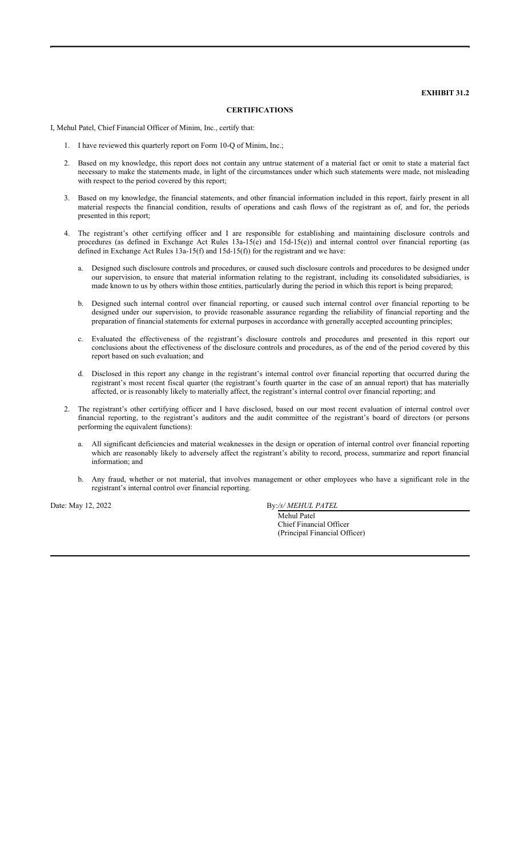## **EXHIBIT 31.2**

### **CERTIFICATIONS**

I, Mehul Patel, Chief Financial Officer of Minim, Inc., certify that:

- 1. I have reviewed this quarterly report on Form 10-Q of Minim, Inc.;
- 2. Based on my knowledge, this report does not contain any untrue statement of a material fact or omit to state a material fact necessary to make the statements made, in light of the circumstances under which such statements were made, not misleading with respect to the period covered by this report;
- 3. Based on my knowledge, the financial statements, and other financial information included in this report, fairly present in all material respects the financial condition, results of operations and cash flows of the registrant as of, and for, the periods presented in this report;
- 4. The registrant's other certifying officer and I are responsible for establishing and maintaining disclosure controls and procedures (as defined in Exchange Act Rules 13a-15(e) and 15d-15(e)) and internal control over financial reporting (as defined in Exchange Act Rules 13a-15(f) and 15d-15(f)) for the registrant and we have:
	- a. Designed such disclosure controls and procedures, or caused such disclosure controls and procedures to be designed under our supervision, to ensure that material information relating to the registrant, including its consolidated subsidiaries, is made known to us by others within those entities, particularly during the period in which this report is being prepared;
	- b. Designed such internal control over financial reporting, or caused such internal control over financial reporting to be designed under our supervision, to provide reasonable assurance regarding the reliability of financial reporting and the preparation of financial statements for external purposes in accordance with generally accepted accounting principles;
	- c. Evaluated the effectiveness of the registrant's disclosure controls and procedures and presented in this report our conclusions about the effectiveness of the disclosure controls and procedures, as of the end of the period covered by this report based on such evaluation; and
	- d. Disclosed in this report any change in the registrant's internal control over financial reporting that occurred during the registrant's most recent fiscal quarter (the registrant's fourth quarter in the case of an annual report) that has materially affected, or is reasonably likely to materially affect, the registrant's internal control over financial reporting; and
- 2. The registrant's other certifying officer and I have disclosed, based on our most recent evaluation of internal control over financial reporting, to the registrant's auditors and the audit committee of the registrant's board of directors (or persons performing the equivalent functions):
	- All significant deficiencies and material weaknesses in the design or operation of internal control over financial reporting which are reasonably likely to adversely affect the registrant's ability to record, process, summarize and report financial information; and
	- b. Any fraud, whether or not material, that involves management or other employees who have a significant role in the registrant's internal control over financial reporting.

Date: May 12, 2022 By:/s/ MEHUL PATEL

Mehul Patel Chief Financial Officer (Principal Financial Officer)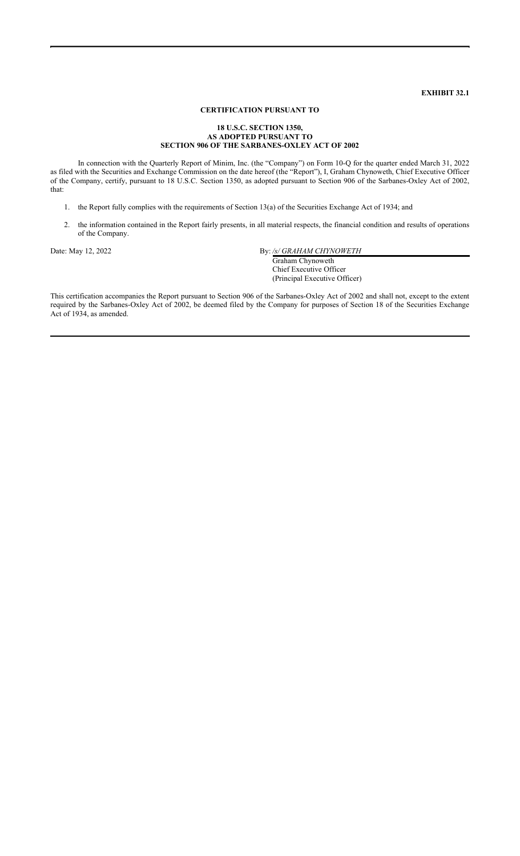## **EXHIBIT 32.1**

### **CERTIFICATION PURSUANT TO**

## **18 U.S.C. SECTION 1350, AS ADOPTED PURSUANT TO SECTION 906 OF THE SARBANES-OXLEY ACT OF 2002**

In connection with the Quarterly Report of Minim, Inc. (the "Company") on Form 10-Q for the quarter ended March 31, 2022 as filed with the Securities and Exchange Commission on the date hereof (the "Report"), I, Graham Chynoweth, Chief Executive Officer of the Company, certify, pursuant to 18 U.S.C. Section 1350, as adopted pursuant to Section 906 of the Sarbanes-Oxley Act of 2002, that:

- 1. the Report fully complies with the requirements of Section 13(a) of the Securities Exchange Act of 1934; and
- 2. the information contained in the Report fairly presents, in all material respects, the financial condition and results of operations of the Company.

Date: May 12, 2022 By: /s/ GRAHAM CHYNOWETH

Graham Chynoweth Chief Executive Officer (Principal Executive Officer)

This certification accompanies the Report pursuant to Section 906 of the Sarbanes-Oxley Act of 2002 and shall not, except to the extent required by the Sarbanes-Oxley Act of 2002, be deemed filed by the Company for purposes of Section 18 of the Securities Exchange Act of 1934, as amended.